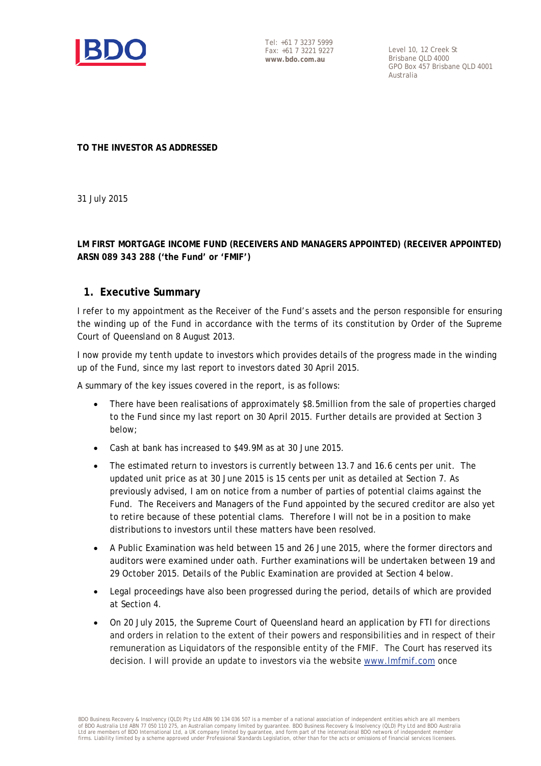

Tel: +61 7 3237 5999 Fax: +61 7 3221 9227 **www.bdo.com.au**

Level 10, 12 Creek St Brisbane QLD 4000 GPO Box 457 Brisbane QLD 4001 Australia

**TO THE INVESTOR AS ADDRESSED** 

31 July 2015

#### **LM FIRST MORTGAGE INCOME FUND (RECEIVERS AND MANAGERS APPOINTED) (RECEIVER APPOINTED) ARSN 089 343 288 ('the Fund' or 'FMIF')**

#### **1. Executive Summary**

I refer to my appointment as the Receiver of the Fund's assets and the person responsible for ensuring the winding up of the Fund in accordance with the terms of its constitution by Order of the Supreme Court of Queensland on 8 August 2013.

I now provide my tenth update to investors which provides details of the progress made in the winding up of the Fund, since my last report to investors dated 30 April 2015.

A summary of the key issues covered in the report, is as follows:

- There have been realisations of approximately \$8.5million from the sale of properties charged to the Fund since my last report on 30 April 2015. Further details are provided at Section 3 below;
- Cash at bank has increased to \$49.9M as at 30 June 2015.
- The estimated return to investors is currently between 13.7 and 16.6 cents per unit. The updated unit price as at 30 June 2015 is 15 cents per unit as detailed at Section 7. As previously advised, I am on notice from a number of parties of potential claims against the Fund. The Receivers and Managers of the Fund appointed by the secured creditor are also yet to retire because of these potential clams. Therefore I will not be in a position to make distributions to investors until these matters have been resolved.
- A Public Examination was held between 15 and 26 June 2015, where the former directors and auditors were examined under oath. Further examinations will be undertaken between 19 and 29 October 2015. Details of the Public Examination are provided at Section 4 below.
- Legal proceedings have also been progressed during the period, details of which are provided at Section 4.
- On 20 July 2015, the Supreme Court of Queensland heard an application by FTI for directions and orders in relation to the extent of their powers and responsibilities and in respect of their remuneration as Liquidators of the responsible entity of the FMIF. The Court has reserved its decision. I will provide an update to investors via the website [www.lmfmif.com](http://www.lmfmif.com/) once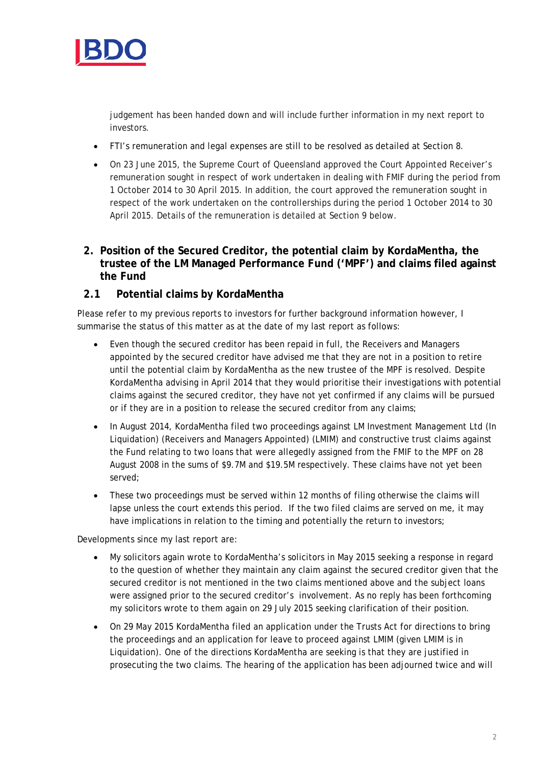

judgement has been handed down and will include further information in my next report to investors.

- FTI's remuneration and legal expenses are still to be resolved as detailed at Section 8.
- On 23 June 2015, the Supreme Court of Queensland approved the Court Appointed Receiver's remuneration sought in respect of work undertaken in dealing with FMIF during the period from 1 October 2014 to 30 April 2015. In addition, the court approved the remuneration sought in respect of the work undertaken on the controllerships during the period 1 October 2014 to 30 April 2015. Details of the remuneration is detailed at Section 9 below.

## **2. Position of the Secured Creditor, the potential claim by KordaMentha, the trustee of the LM Managed Performance Fund ('MPF') and claims filed against the Fund**

## **2.1 Potential claims by KordaMentha**

Please refer to my previous reports to investors for further background information however, I summarise the status of this matter as at the date of my last report as follows:

- Even though the secured creditor has been repaid in full, the Receivers and Managers appointed by the secured creditor have advised me that they are not in a position to retire until the potential claim by KordaMentha as the new trustee of the MPF is resolved. Despite KordaMentha advising in April 2014 that they would prioritise their investigations with potential claims against the secured creditor, they have not yet confirmed if any claims will be pursued or if they are in a position to release the secured creditor from any claims;
- In August 2014, KordaMentha filed two proceedings against LM Investment Management Ltd (In Liquidation) (Receivers and Managers Appointed) (LMIM) and constructive trust claims against the Fund relating to two loans that were allegedly assigned from the FMIF to the MPF on 28 August 2008 in the sums of \$9.7M and \$19.5M respectively. These claims have not yet been served;
- These two proceedings must be served within 12 months of filing otherwise the claims will lapse unless the court extends this period. If the two filed claims are served on me, it may have implications in relation to the timing and potentially the return to investors;

Developments since my last report are:

- My solicitors again wrote to KordaMentha's solicitors in May 2015 seeking a response in regard to the question of whether they maintain any claim against the secured creditor given that the secured creditor is not mentioned in the two claims mentioned above and the subject loans were assigned prior to the secured creditor's involvement. As no reply has been forthcoming my solicitors wrote to them again on 29 July 2015 seeking clarification of their position.
- On 29 May 2015 KordaMentha filed an application under the Trusts Act for directions to bring the proceedings and an application for leave to proceed against LMIM (given LMIM is in Liquidation). One of the directions KordaMentha are seeking is that they are justified in prosecuting the two claims. The hearing of the application has been adjourned twice and will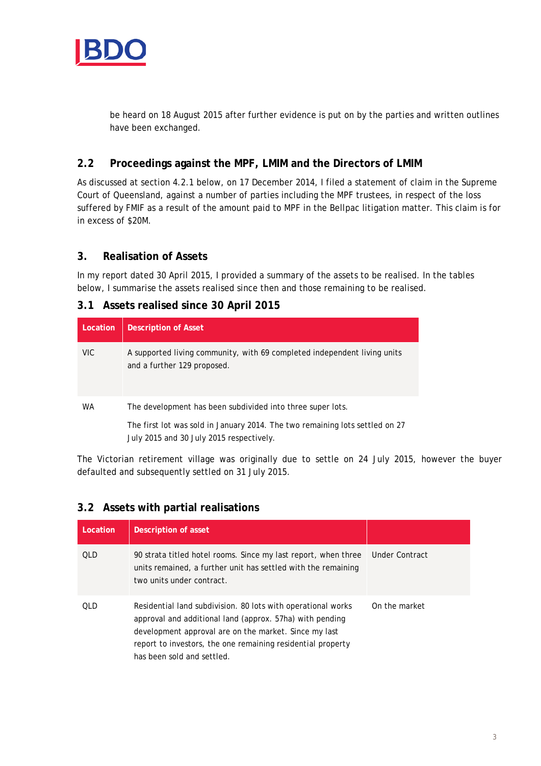

be heard on 18 August 2015 after further evidence is put on by the parties and written outlines have been exchanged.

## **2.2 Proceedings against the MPF, LMIM and the Directors of LMIM**

As discussed at section 4.2.1 below, on 17 December 2014, I filed a statement of claim in the Supreme Court of Queensland, against a number of parties including the MPF trustees, in respect of the loss suffered by FMIF as a result of the amount paid to MPF in the Bellpac litigation matter. This claim is for in excess of \$20M.

## **3. Realisation of Assets**

In my report dated 30 April 2015, I provided a summary of the assets to be realised. In the tables below, I summarise the assets realised since then and those remaining to be realised.

## **3.1 Assets realised since 30 April 2015**

| Location  | <b>Description of Asset</b>                                                                                                                                                            |
|-----------|----------------------------------------------------------------------------------------------------------------------------------------------------------------------------------------|
| VIC.      | A supported living community, with 69 completed independent living units<br>and a further 129 proposed.                                                                                |
| <b>WA</b> | The development has been subdivided into three super lots.<br>The first lot was sold in January 2014. The two remaining lots settled on 27<br>July 2015 and 30 July 2015 respectively. |

The Victorian retirement village was originally due to settle on 24 July 2015, however the buyer defaulted and subsequently settled on 31 July 2015.

## **3.2 Assets with partial realisations**

| Location | Description of asset                                                                                                                                                                                                                                                           |                |
|----------|--------------------------------------------------------------------------------------------------------------------------------------------------------------------------------------------------------------------------------------------------------------------------------|----------------|
| OLD.     | 90 strata titled hotel rooms. Since my last report, when three<br>units remained, a further unit has settled with the remaining<br>two units under contract.                                                                                                                   | Under Contract |
| OL D     | Residential land subdivision. 80 lots with operational works<br>approval and additional land (approx. 57ha) with pending<br>development approval are on the market. Since my last<br>report to investors, the one remaining residential property<br>has been sold and settled. | On the market  |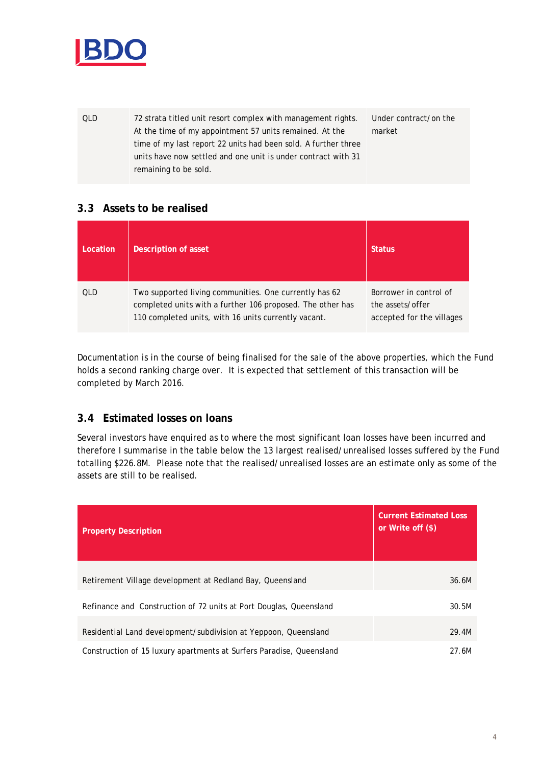

QLD 72 strata titled unit resort complex with management rights. At the time of my appointment 57 units remained. At the time of my last report 22 units had been sold. A further three units have now settled and one unit is under contract with 31 remaining to be sold. Under contract/on the market

## **3.3 Assets to be realised**

| Location | Description of asset                                                                                                                                                         | <b>Status</b>                                                           |
|----------|------------------------------------------------------------------------------------------------------------------------------------------------------------------------------|-------------------------------------------------------------------------|
| OLD      | Two supported living communities. One currently has 62<br>completed units with a further 106 proposed. The other has<br>110 completed units, with 16 units currently vacant. | Borrower in control of<br>the assets/offer<br>accepted for the villages |

Documentation is in the course of being finalised for the sale of the above properties, which the Fund holds a second ranking charge over. It is expected that settlement of this transaction will be completed by March 2016.

## **3.4 Estimated losses on loans**

Several investors have enquired as to where the most significant loan losses have been incurred and therefore I summarise in the table below the 13 largest realised/unrealised losses suffered by the Fund totalling \$226.8M. Please note that the realised/unrealised losses are an estimate only as some of the assets are still to be realised.

| <b>Property Description</b>                                          | <b>Current Estimated Loss</b><br>or Write off (\$) |
|----------------------------------------------------------------------|----------------------------------------------------|
| Retirement Village development at Redland Bay, Queensland            | 36.6M                                              |
| Refinance and Construction of 72 units at Port Douglas, Queensland   | 30.5M                                              |
| Residential Land development/subdivision at Yeppoon, Queensland      | 29.4M                                              |
| Construction of 15 luxury apartments at Surfers Paradise, Queensland | 27.6M                                              |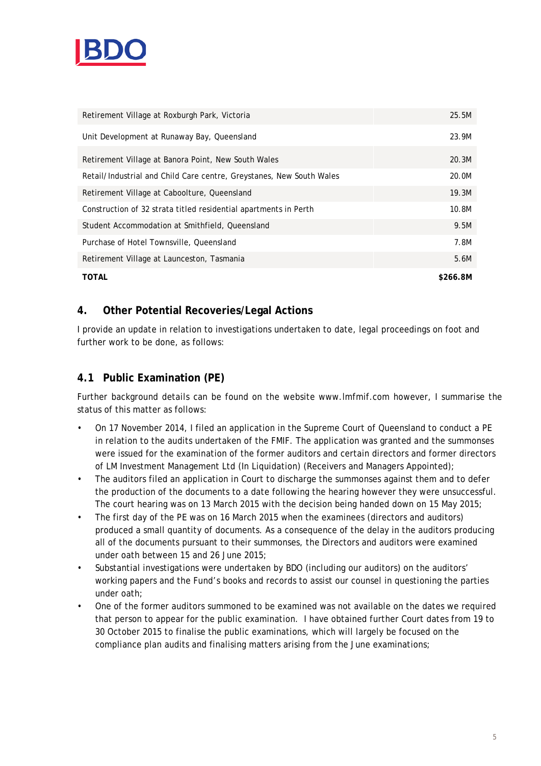

| Retirement Village at Roxburgh Park, Victoria                        | 25.5M    |
|----------------------------------------------------------------------|----------|
| Unit Development at Runaway Bay, Queensland                          | 23.9M    |
| Retirement Village at Banora Point, New South Wales                  | 20.3M    |
| Retail/Industrial and Child Care centre, Greystanes, New South Wales | 20.0M    |
| Retirement Village at Caboolture, Queensland                         | 19.3M    |
| Construction of 32 strata titled residential apartments in Perth     | 10.8M    |
| Student Accommodation at Smithfield, Queensland                      | 9.5M     |
| Purchase of Hotel Townsville, Queensland                             | 7.8M     |
| Retirement Village at Launceston, Tasmania                           | 5.6M     |
| TOTAL                                                                | \$266.8M |

## **4. Other Potential Recoveries/Legal Actions**

I provide an update in relation to investigations undertaken to date, legal proceedings on foot and further work to be done, as follows:

## **4.1 Public Examination (PE)**

Further background details can be found on the website www.lmfmif.com however, I summarise the status of this matter as follows:

- On 17 November 2014, I filed an application in the Supreme Court of Queensland to conduct a PE in relation to the audits undertaken of the FMIF. The application was granted and the summonses were issued for the examination of the former auditors and certain directors and former directors of LM Investment Management Ltd (In Liquidation) (Receivers and Managers Appointed);
- The auditors filed an application in Court to discharge the summonses against them and to defer the production of the documents to a date following the hearing however they were unsuccessful. The court hearing was on 13 March 2015 with the decision being handed down on 15 May 2015;
- The first day of the PE was on 16 March 2015 when the examinees (directors and auditors) produced a small quantity of documents. As a consequence of the delay in the auditors producing all of the documents pursuant to their summonses, the Directors and auditors were examined under oath between 15 and 26 June 2015;
- Substantial investigations were undertaken by BDO (including our auditors) on the auditors' working papers and the Fund's books and records to assist our counsel in questioning the parties under oath;
- One of the former auditors summoned to be examined was not available on the dates we required that person to appear for the public examination. I have obtained further Court dates from 19 to 30 October 2015 to finalise the public examinations, which will largely be focused on the compliance plan audits and finalising matters arising from the June examinations;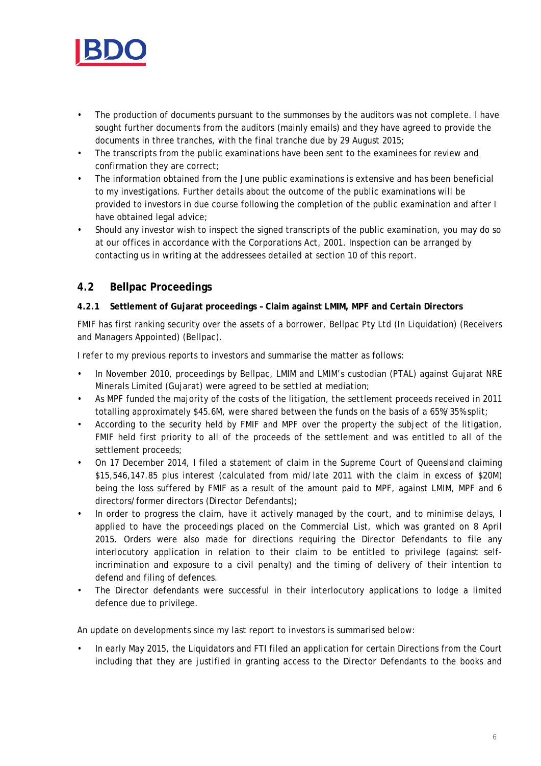

- The production of documents pursuant to the summonses by the auditors was not complete. I have sought further documents from the auditors (mainly emails) and they have agreed to provide the documents in three tranches, with the final tranche due by 29 August 2015;
- The transcripts from the public examinations have been sent to the examinees for review and confirmation they are correct;
- The information obtained from the June public examinations is extensive and has been beneficial to my investigations. Further details about the outcome of the public examinations will be provided to investors in due course following the completion of the public examination and after I have obtained legal advice;
- Should any investor wish to inspect the signed transcripts of the public examination, you may do so at our offices in accordance with the *Corporations Act, 2001*. Inspection can be arranged by contacting us in writing at the addressees detailed at section 10 of this report.

## **4.2 Bellpac Proceedings**

#### **4.2.1 Settlement of Gujarat proceedings – Claim against LMIM, MPF and Certain Directors**

FMIF has first ranking security over the assets of a borrower, Bellpac Pty Ltd (In Liquidation) (Receivers and Managers Appointed) (Bellpac).

I refer to my previous reports to investors and summarise the matter as follows:

- In November 2010, proceedings by Bellpac, LMIM and LMIM's custodian (PTAL) against Gujarat NRE Minerals Limited (Gujarat) were agreed to be settled at mediation;
- As MPF funded the majority of the costs of the litigation, the settlement proceeds received in 2011 totalling approximately \$45.6M, were shared between the funds on the basis of a 65%/35% split;
- According to the security held by FMIF and MPF over the property the subject of the litigation, FMIF held first priority to all of the proceeds of the settlement and was entitled to all of the settlement proceeds;
- On 17 December 2014, I filed a statement of claim in the Supreme Court of Queensland claiming \$15,546,147.85 plus interest (calculated from mid/late 2011 with the claim in excess of \$20M) being the loss suffered by FMIF as a result of the amount paid to MPF, against LMIM, MPF and 6 directors/former directors (Director Defendants);
- In order to progress the claim, have it actively managed by the court, and to minimise delays, I applied to have the proceedings placed on the Commercial List, which was granted on 8 April 2015. Orders were also made for directions requiring the Director Defendants to file any interlocutory application in relation to their claim to be entitled to privilege (against selfincrimination and exposure to a civil penalty) and the timing of delivery of their intention to defend and filing of defences.
- The Director defendants were successful in their interlocutory applications to lodge a limited defence due to privilege.

An update on developments since my last report to investors is summarised below:

• In early May 2015, the Liquidators and FTI filed an application for certain Directions from the Court including that they are justified in granting access to the Director Defendants to the books and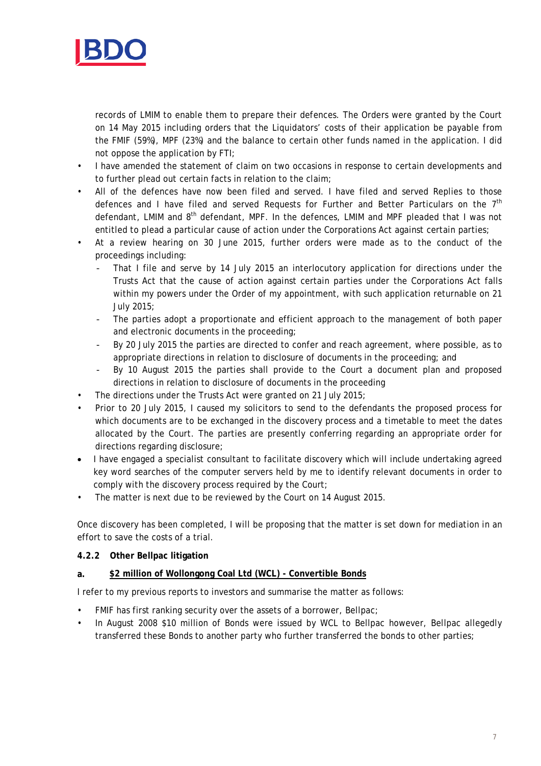

records of LMIM to enable them to prepare their defences. The Orders were granted by the Court on 14 May 2015 including orders that the Liquidators' costs of their application be payable from the FMIF (59%), MPF (23%) and the balance to certain other funds named in the application. I did not oppose the application by FTI;

- I have amended the statement of claim on two occasions in response to certain developments and to further plead out certain facts in relation to the claim;
- All of the defences have now been filed and served. I have filed and served Replies to those defences and I have filed and served Requests for Further and Better Particulars on the  $7<sup>th</sup>$ defendant, LMIM and 8<sup>th</sup> defendant, MPF. In the defences, LMIM and MPF pleaded that I was not entitled to plead a particular cause of action under the Corporations Act against certain parties;
- At a review hearing on 30 June 2015, further orders were made as to the conduct of the proceedings including:
	- That I file and serve by 14 July 2015 an interlocutory application for directions under the Trusts Act that the cause of action against certain parties under the Corporations Act falls within my powers under the Order of my appointment, with such application returnable on 21 July 2015;
	- The parties adopt a proportionate and efficient approach to the management of both paper and electronic documents in the proceeding;
	- By 20 July 2015 the parties are directed to confer and reach agreement, where possible, as to appropriate directions in relation to disclosure of documents in the proceeding; and
	- By 10 August 2015 the parties shall provide to the Court a document plan and proposed directions in relation to disclosure of documents in the proceeding
- The directions under the Trusts Act were granted on 21 July 2015;
- Prior to 20 July 2015, I caused my solicitors to send to the defendants the proposed process for which documents are to be exchanged in the discovery process and a timetable to meet the dates allocated by the Court. The parties are presently conferring regarding an appropriate order for directions regarding disclosure;
- I have engaged a specialist consultant to facilitate discovery which will include undertaking agreed key word searches of the computer servers held by me to identify relevant documents in order to comply with the discovery process required by the Court;
- The matter is next due to be reviewed by the Court on 14 August 2015.

Once discovery has been completed, I will be proposing that the matter is set down for mediation in an effort to save the costs of a trial.

#### **4.2.2 Other Bellpac litigation**

#### **a. \$2 million of Wollongong Coal Ltd (WCL) - Convertible Bonds**

I refer to my previous reports to investors and summarise the matter as follows:

- FMIF has first ranking security over the assets of a borrower, Bellpac;
- In August 2008 \$10 million of Bonds were issued by WCL to Bellpac however, Bellpac allegedly transferred these Bonds to another party who further transferred the bonds to other parties;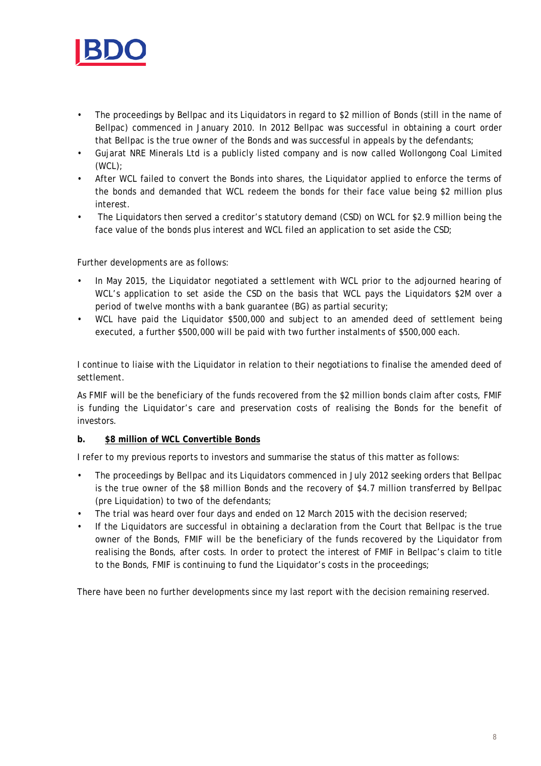

- The proceedings by Bellpac and its Liquidators in regard to \$2 million of Bonds (still in the name of Bellpac) commenced in January 2010. In 2012 Bellpac was successful in obtaining a court order that Bellpac is the true owner of the Bonds and was successful in appeals by the defendants;
- Gujarat NRE Minerals Ltd is a publicly listed company and is now called Wollongong Coal Limited (WCL);
- After WCL failed to convert the Bonds into shares, the Liquidator applied to enforce the terms of the bonds and demanded that WCL redeem the bonds for their face value being \$2 million plus interest.
- The Liquidators then served a creditor's statutory demand (CSD) on WCL for \$2.9 million being the face value of the bonds plus interest and WCL filed an application to set aside the CSD;

Further developments are as follows:

- In May 2015, the Liquidator negotiated a settlement with WCL prior to the adjourned hearing of WCL's application to set aside the CSD on the basis that WCL pays the Liquidators \$2M over a period of twelve months with a bank guarantee (BG) as partial security;
- WCL have paid the Liquidator \$500,000 and subject to an amended deed of settlement being executed, a further \$500,000 will be paid with two further instalments of \$500,000 each.

I continue to liaise with the Liquidator in relation to their negotiations to finalise the amended deed of settlement.

As FMIF will be the beneficiary of the funds recovered from the \$2 million bonds claim after costs, FMIF is funding the Liquidator's care and preservation costs of realising the Bonds for the benefit of investors.

#### **b. \$8 million of WCL Convertible Bonds**

I refer to my previous reports to investors and summarise the status of this matter as follows:

- The proceedings by Bellpac and its Liquidators commenced in July 2012 seeking orders that Bellpac is the true owner of the \$8 million Bonds and the recovery of \$4.7 million transferred by Bellpac (pre Liquidation) to two of the defendants;
- The trial was heard over four days and ended on 12 March 2015 with the decision reserved;
- If the Liquidators are successful in obtaining a declaration from the Court that Bellpac is the true owner of the Bonds, FMIF will be the beneficiary of the funds recovered by the Liquidator from realising the Bonds, after costs. In order to protect the interest of FMIF in Bellpac's claim to title to the Bonds, FMIF is continuing to fund the Liquidator's costs in the proceedings;

There have been no further developments since my last report with the decision remaining reserved.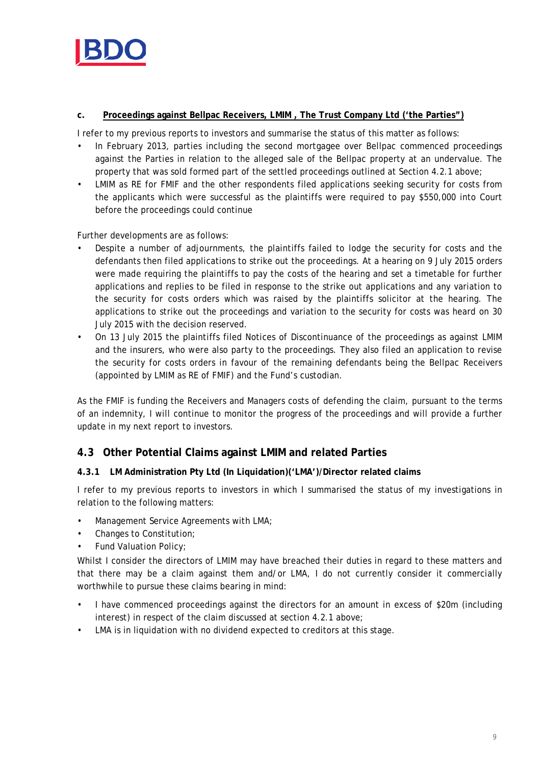

#### **c. Proceedings against Bellpac Receivers, LMIM , The Trust Company Ltd ('the Parties")**

I refer to my previous reports to investors and summarise the status of this matter as follows:

- In February 2013, parties including the second mortgagee over Bellpac commenced proceedings against the Parties in relation to the alleged sale of the Bellpac property at an undervalue. The property that was sold formed part of the settled proceedings outlined at Section 4.2.1 above;
- LMIM as RE for FMIF and the other respondents filed applications seeking security for costs from the applicants which were successful as the plaintiffs were required to pay \$550,000 into Court before the proceedings could continue

Further developments are as follows:

- Despite a number of adjournments, the plaintiffs failed to lodge the security for costs and the defendants then filed applications to strike out the proceedings. At a hearing on 9 July 2015 orders were made requiring the plaintiffs to pay the costs of the hearing and set a timetable for further applications and replies to be filed in response to the strike out applications and any variation to the security for costs orders which was raised by the plaintiffs solicitor at the hearing. The applications to strike out the proceedings and variation to the security for costs was heard on 30 July 2015 with the decision reserved.
- On 13 July 2015 the plaintiffs filed Notices of Discontinuance of the proceedings as against LMIM and the insurers, who were also party to the proceedings. They also filed an application to revise the security for costs orders in favour of the remaining defendants being the Bellpac Receivers (appointed by LMIM as RE of FMIF) and the Fund's custodian.

As the FMIF is funding the Receivers and Managers costs of defending the claim, pursuant to the terms of an indemnity, I will continue to monitor the progress of the proceedings and will provide a further update in my next report to investors.

## **4.3 Other Potential Claims against LMIM and related Parties**

#### **4.3.1 LM Administration Pty Ltd (In Liquidation)('LMA')/Director related claims**

I refer to my previous reports to investors in which I summarised the status of my investigations in relation to the following matters:

- Management Service Agreements with LMA;
- Changes to Constitution;
- Fund Valuation Policy;

Whilst I consider the directors of LMIM may have breached their duties in regard to these matters and that there may be a claim against them and/or LMA, I do not currently consider it commercially worthwhile to pursue these claims bearing in mind:

- I have commenced proceedings against the directors for an amount in excess of \$20m (including interest) in respect of the claim discussed at section 4.2.1 above;
- LMA is in liquidation with no dividend expected to creditors at this stage.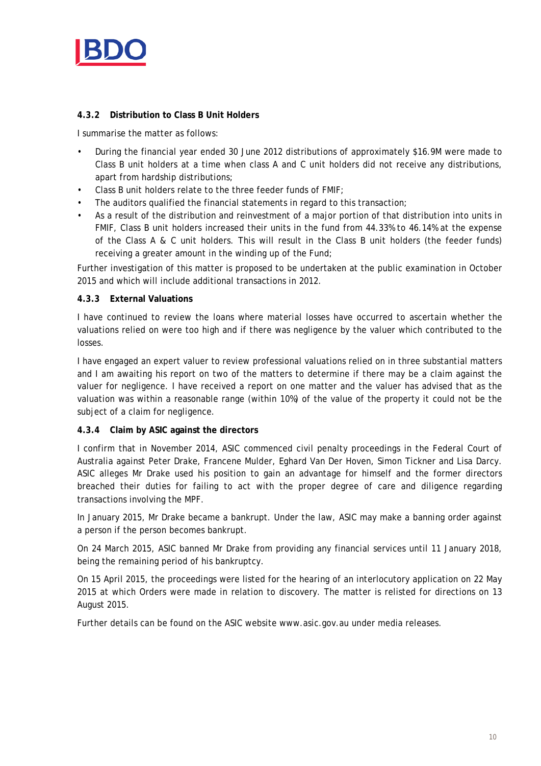

#### **4.3.2 Distribution to Class B Unit Holders**

I summarise the matter as follows:

- During the financial year ended 30 June 2012 distributions of approximately \$16.9M were made to Class B unit holders at a time when class A and C unit holders did not receive any distributions, apart from hardship distributions;
- Class B unit holders relate to the three feeder funds of FMIF;
- The auditors qualified the financial statements in regard to this transaction;
- As a result of the distribution and reinvestment of a major portion of that distribution into units in FMIF, Class B unit holders increased their units in the fund from 44.33% to 46.14% at the expense of the Class A & C unit holders. This will result in the Class B unit holders (the feeder funds) receiving a greater amount in the winding up of the Fund;

Further investigation of this matter is proposed to be undertaken at the public examination in October 2015 and which will include additional transactions in 2012.

#### **4.3.3 External Valuations**

I have continued to review the loans where material losses have occurred to ascertain whether the valuations relied on were too high and if there was negligence by the valuer which contributed to the losses.

I have engaged an expert valuer to review professional valuations relied on in three substantial matters and I am awaiting his report on two of the matters to determine if there may be a claim against the valuer for negligence. I have received a report on one matter and the valuer has advised that as the valuation was within a reasonable range (within 10%) of the value of the property it could not be the subject of a claim for negligence.

#### **4.3.4 Claim by ASIC against the directors**

I confirm that in November 2014, ASIC commenced civil penalty proceedings in the Federal Court of Australia against Peter Drake, Francene Mulder, Eghard Van Der Hoven, Simon Tickner and Lisa Darcy. ASIC alleges Mr Drake used his position to gain an advantage for himself and the former directors breached their duties for failing to act with the proper degree of care and diligence regarding transactions involving the MPF.

In January 2015, Mr Drake became a bankrupt. Under the law, ASIC may make a banning order against a person if the person becomes bankrupt.

On 24 March 2015, ASIC banned Mr Drake from providing any financial services until 11 January 2018, being the remaining period of his bankruptcy.

On 15 April 2015, the proceedings were listed for the hearing of an interlocutory application on 22 May 2015 at which Orders were made in relation to discovery. The matter is relisted for directions on 13 August 2015.

Further details can be found on the ASIC website www.asic.gov.au under media releases.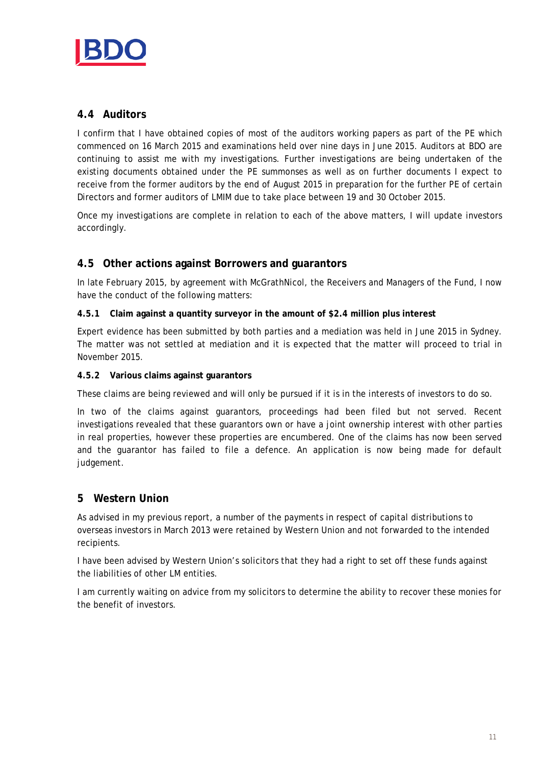

## **4.4 Auditors**

I confirm that I have obtained copies of most of the auditors working papers as part of the PE which commenced on 16 March 2015 and examinations held over nine days in June 2015. Auditors at BDO are continuing to assist me with my investigations. Further investigations are being undertaken of the existing documents obtained under the PE summonses as well as on further documents I expect to receive from the former auditors by the end of August 2015 in preparation for the further PE of certain Directors and former auditors of LMIM due to take place between 19 and 30 October 2015.

Once my investigations are complete in relation to each of the above matters, I will update investors accordingly.

#### **4.5 Other actions against Borrowers and guarantors**

In late February 2015, by agreement with McGrathNicol, the Receivers and Managers of the Fund, I now have the conduct of the following matters:

#### **4.5.1 Claim against a quantity surveyor in the amount of \$2.4 million plus interest**

Expert evidence has been submitted by both parties and a mediation was held in June 2015 in Sydney. The matter was not settled at mediation and it is expected that the matter will proceed to trial in November 2015.

#### **4.5.2 Various claims against guarantors**

These claims are being reviewed and will only be pursued if it is in the interests of investors to do so.

In two of the claims against guarantors, proceedings had been filed but not served. Recent investigations revealed that these guarantors own or have a joint ownership interest with other parties in real properties, however these properties are encumbered. One of the claims has now been served and the guarantor has failed to file a defence. An application is now being made for default judgement.

#### **5 Western Union**

As advised in my previous report, a number of the payments in respect of capital distributions to overseas investors in March 2013 were retained by Western Union and not forwarded to the intended recipients.

I have been advised by Western Union's solicitors that they had a right to set off these funds against the liabilities of other LM entities.

I am currently waiting on advice from my solicitors to determine the ability to recover these monies for the benefit of investors.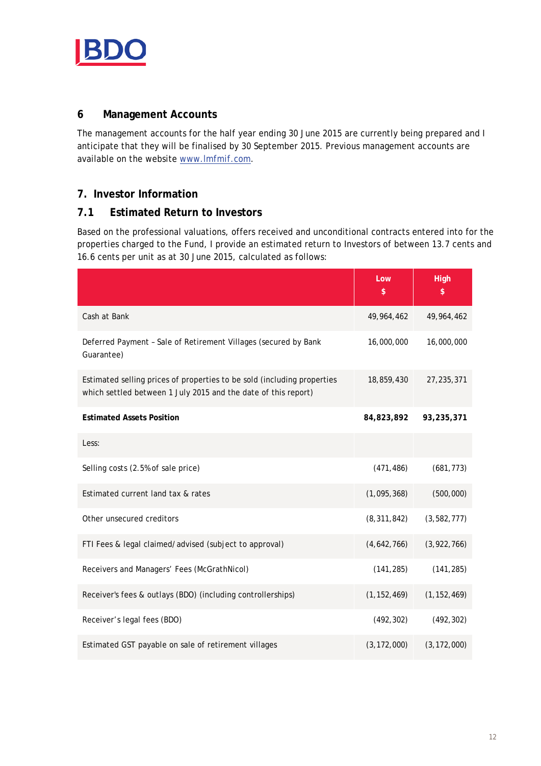

## **6 Management Accounts**

The management accounts for the half year ending 30 June 2015 are currently being prepared and I anticipate that they will be finalised by 30 September 2015. Previous management accounts are available on the website [www.lmfmif.com.](http://www.lmfmif.com/)

## **7. Investor Information**

## **7.1 Estimated Return to Investors**

Based on the professional valuations, offers received and unconditional contracts entered into for the properties charged to the Fund, I provide an estimated return to Investors of between 13.7 cents and 16.6 cents per unit as at 30 June 2015, calculated as follows:

|                                                                                                                                           | Low<br>\$     | <b>High</b><br>\$ |
|-------------------------------------------------------------------------------------------------------------------------------------------|---------------|-------------------|
| Cash at Bank                                                                                                                              | 49,964,462    | 49, 964, 462      |
| Deferred Payment - Sale of Retirement Villages (secured by Bank<br>Guarantee)                                                             | 16,000,000    | 16,000,000        |
| Estimated selling prices of properties to be sold (including properties<br>which settled between 1 July 2015 and the date of this report) | 18,859,430    | 27, 235, 371      |
| <b>Estimated Assets Position</b>                                                                                                          | 84,823,892    | 93,235,371        |
| Less:                                                                                                                                     |               |                   |
| Selling costs (2.5% of sale price)                                                                                                        | (471, 486)    | (681, 773)        |
| Estimated current land tax & rates                                                                                                        | (1,095,368)   | (500,000)         |
| Other unsecured creditors                                                                                                                 | (8, 311, 842) | (3, 582, 777)     |
| FTI Fees & legal claimed/advised (subject to approval)                                                                                    | (4,642,766)   | (3,922,766)       |
| Receivers and Managers' Fees (McGrathNicol)                                                                                               | (141, 285)    | (141, 285)        |
| Receiver's fees & outlays (BDO) (including controllerships)                                                                               | (1, 152, 469) | (1, 152, 469)     |
| Receiver's legal fees (BDO)                                                                                                               | (492, 302)    | (492, 302)        |
| Estimated GST payable on sale of retirement villages                                                                                      | (3, 172, 000) | (3, 172, 000)     |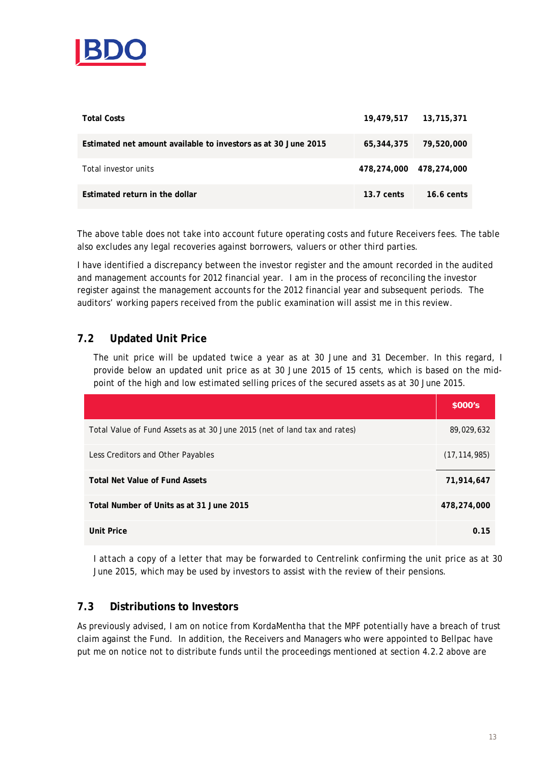

| <b>Total Costs</b>                                             |                         | 19,479,517 13,715,371 |
|----------------------------------------------------------------|-------------------------|-----------------------|
| Estimated net amount available to investors as at 30 June 2015 | 65,344,375              | 79,520,000            |
| Total investor units                                           | 478.274.000 478.274.000 |                       |
| Estimated return in the dollar                                 | $13.7$ cents            | $16.6 \text{ cents}$  |

The above table does not take into account future operating costs and future Receivers fees. The table also excludes any legal recoveries against borrowers, valuers or other third parties.

I have identified a discrepancy between the investor register and the amount recorded in the audited and management accounts for 2012 financial year. I am in the process of reconciling the investor register against the management accounts for the 2012 financial year and subsequent periods. The auditors' working papers received from the public examination will assist me in this review.

## **7.2 Updated Unit Price**

The unit price will be updated twice a year as at 30 June and 31 December. In this regard, I provide below an updated unit price as at 30 June 2015 of 15 cents, which is based on the midpoint of the high and low estimated selling prices of the secured assets as at 30 June 2015.

|                                                                           | \$000's        |
|---------------------------------------------------------------------------|----------------|
| Total Value of Fund Assets as at 30 June 2015 (net of land tax and rates) | 89,029,632     |
| Less Creditors and Other Payables                                         | (17, 114, 985) |
| <b>Total Net Value of Fund Assets</b>                                     | 71,914,647     |
| Total Number of Units as at 31 June 2015                                  | 478,274,000    |
| <b>Unit Price</b>                                                         | 0.15           |

I *attach* a copy of a letter that may be forwarded to Centrelink confirming the unit price as at 30 June 2015, which may be used by investors to assist with the review of their pensions.

## **7.3 Distributions to Investors**

As previously advised, I am on notice from KordaMentha that the MPF potentially have a breach of trust claim against the Fund. In addition, the Receivers and Managers who were appointed to Bellpac have put me on notice not to distribute funds until the proceedings mentioned at section 4.2.2 above are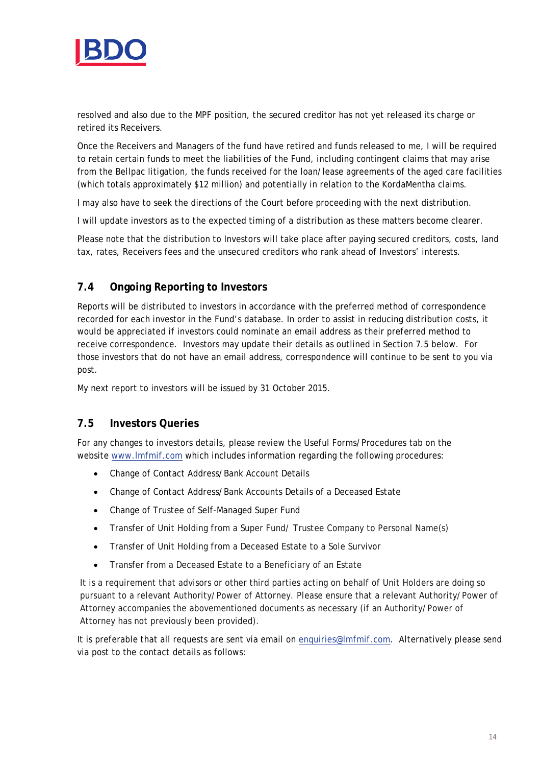

resolved and also due to the MPF position, the secured creditor has not yet released its charge or retired its Receivers.

Once the Receivers and Managers of the fund have retired and funds released to me, I will be required to retain certain funds to meet the liabilities of the Fund, including contingent claims that may arise from the Bellpac litigation, the funds received for the loan/lease agreements of the aged care facilities (which totals approximately \$12 million) and potentially in relation to the KordaMentha claims.

I may also have to seek the directions of the Court before proceeding with the next distribution.

I will update investors as to the expected timing of a distribution as these matters become clearer.

Please note that the distribution to Investors will take place after paying secured creditors, costs, land tax, rates, Receivers fees and the unsecured creditors who rank ahead of Investors' interests.

## **7.4 Ongoing Reporting to Investors**

Reports will be distributed to investors in accordance with the preferred method of correspondence recorded for each investor in the Fund's database. In order to assist in reducing distribution costs, it would be appreciated if investors could nominate an email address as their preferred method to receive correspondence. Investors may update their details as outlined in Section 7.5 below. For those investors that do not have an email address, correspondence will continue to be sent to you via post.

My next report to investors will be issued by 31 October 2015.

## **7.5 Investors Queries**

For any changes to investors details, please review the Useful Forms/Procedures tab on the website [www.lmfmif.com](http://www.lmfmif.com/) which includes information regarding the following procedures:

- Change of Contact Address/Bank Account Details
- Change of Contact Address/Bank Accounts Details of a Deceased Estate
- Change of Trustee of Self-Managed Super Fund
- Transfer of Unit Holding from a Super Fund/ Trustee Company to Personal Name(s)
- Transfer of Unit Holding from a Deceased Estate to a Sole Survivor
- Transfer from a Deceased Estate to a Beneficiary of an Estate

It is a requirement that advisors or other third parties acting on behalf of Unit Holders are doing so pursuant to a relevant Authority/Power of Attorney. Please ensure that a relevant Authority/Power of Attorney accompanies the abovementioned documents as necessary (if an Authority/Power of Attorney has not previously been provided).

It is preferable that all requests are sent via email on [enquiries@lmfmif.com.](mailto:enquiries@lmfmif.com) Alternatively please send via post to the contact details as follows: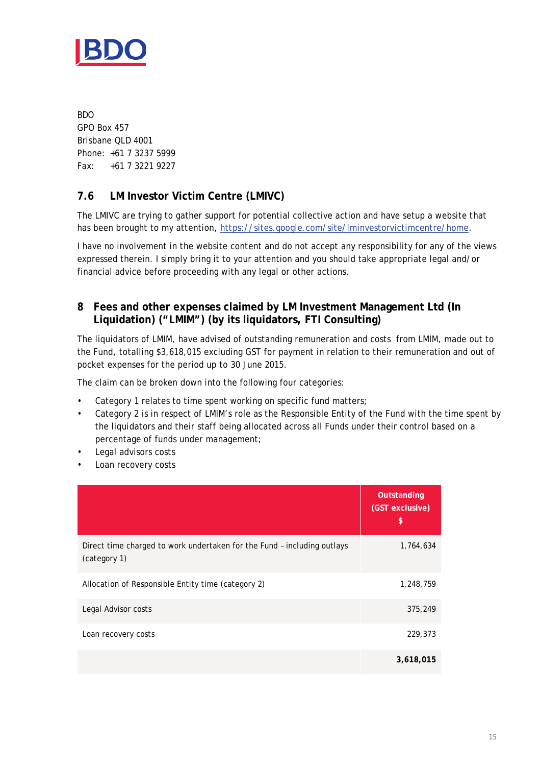

BDO GPO Box 457 Brisbane QLD 4001 Phone: +61 7 3237 5999 Fax: +61 7 3221 9227

## **7.6 LM Investor Victim Centre (LMIVC)**

The LMIVC are trying to gather support for potential collective action and have setup a website that has been brought to my attention, [https://sites.google.com/site/lminvestorvictimcentre/home.](https://sites.google.com/site/lminvestorvictimcentre/home)

I have no involvement in the website content and do not accept any responsibility for any of the views expressed therein. I simply bring it to your attention and you should take appropriate legal and/or financial advice before proceeding with any legal or other actions.

## **8 Fees and other expenses claimed by LM Investment Management Ltd (In Liquidation) ("LMIM") (by its liquidators, FTI Consulting)**

The liquidators of LMIM, have advised of outstanding remuneration and costs from LMIM, made out to the Fund, totalling \$3,618,015 excluding GST for payment in relation to their remuneration and out of pocket expenses for the period up to 30 June 2015.

The claim can be broken down into the following four categories:

- Category 1 relates to time spent working on specific fund matters;
- Category 2 is in respect of LMIM's role as the Responsible Entity of the Fund with the time spent by the liquidators and their staff being allocated across all Funds under their control based on a percentage of funds under management;
- Legal advisors costs
- Loan recovery costs

|                                                                                         | Outstanding<br>(GST exclusive)<br>\$ |
|-----------------------------------------------------------------------------------------|--------------------------------------|
| Direct time charged to work undertaken for the Fund - including outlays<br>(category 1) | 1,764,634                            |
| Allocation of Responsible Entity time (category 2)                                      | 1,248,759                            |
| Legal Advisor costs                                                                     | 375,249                              |
| Loan recovery costs                                                                     | 229,373                              |
|                                                                                         | 3,618,015                            |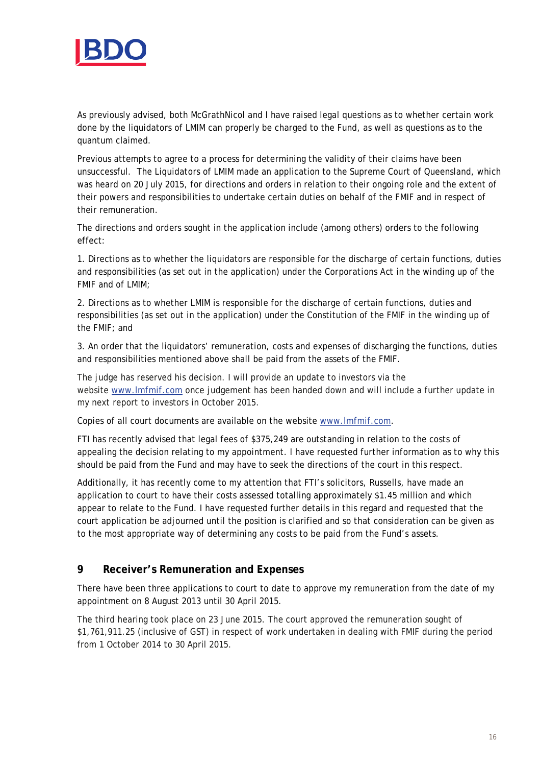

As previously advised, both McGrathNicol and I have raised legal questions as to whether certain work done by the liquidators of LMIM can properly be charged to the Fund, as well as questions as to the quantum claimed.

Previous attempts to agree to a process for determining the validity of their claims have been unsuccessful. The Liquidators of LMIM made an application to the Supreme Court of Queensland, which was heard on 20 July 2015, for directions and orders in relation to their ongoing role and the extent of their powers and responsibilities to undertake certain duties on behalf of the FMIF and in respect of their remuneration.

The directions and orders sought in the application include (among others) orders to the following effect:

1. Directions as to whether the liquidators are responsible for the discharge of certain functions, duties and responsibilities (as set out in the application) under the *Corporations Act* in the winding up of the FMIF and of LMIM;

2. Directions as to whether LMIM is responsible for the discharge of certain functions, duties and responsibilities (as set out in the application) under the Constitution of the FMIF in the winding up of the FMIF; and

3. An order that the liquidators' remuneration, costs and expenses of discharging the functions, duties and responsibilities mentioned above shall be paid from the assets of the FMIF.

The judge has reserved his decision. I will provide an update to investors via the website [www.lmfmif.com](http://www.lmfmif.com/) once judgement has been handed down and will include a further update in my next report to investors in October 2015.

Copies of all court documents are available on the website [www.lmfmif.com.](http://www.lmfmif.com/)

FTI has recently advised that legal fees of \$375,249 are outstanding in relation to the costs of appealing the decision relating to my appointment. I have requested further information as to why this should be paid from the Fund and may have to seek the directions of the court in this respect.

Additionally, it has recently come to my attention that FTI's solicitors, Russells, have made an application to court to have their costs assessed totalling approximately \$1.45 million and which appear to relate to the Fund. I have requested further details in this regard and requested that the court application be adjourned until the position is clarified and so that consideration can be given as to the most appropriate way of determining any costs to be paid from the Fund's assets.

## **9 Receiver's Remuneration and Expenses**

There have been three applications to court to date to approve my remuneration from the date of my appointment on 8 August 2013 until 30 April 2015.

The third hearing took place on 23 June 2015. The court approved the remuneration sought of \$1,761,911.25 (inclusive of GST) in respect of work undertaken in dealing with FMIF during the period from 1 October 2014 to 30 April 2015.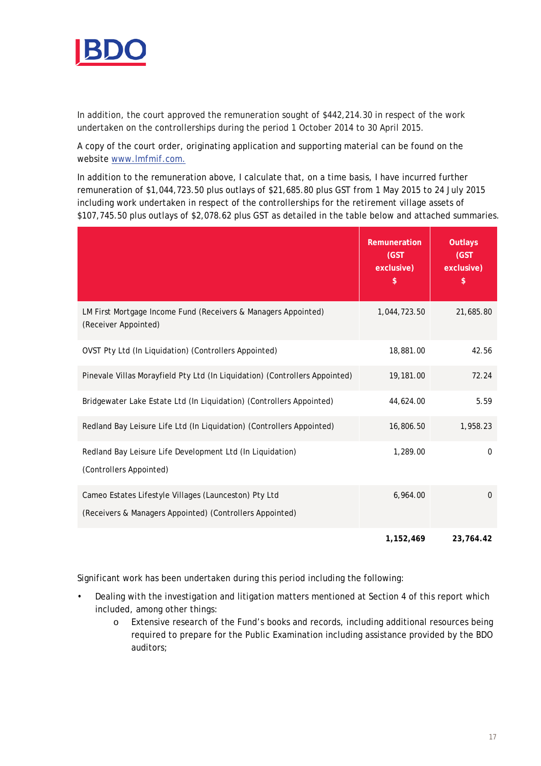

In addition, the court approved the remuneration sought of \$442,214.30 in respect of the work undertaken on the controllerships during the period 1 October 2014 to 30 April 2015.

A copy of the court order, originating application and supporting material can be found on the website [www.lmfmif.com.](http://www.lmfmif.com/)

In addition to the remuneration above, I calculate that, on a time basis, I have incurred further remuneration of \$1,044,723.50 plus outlays of \$21,685.80 plus GST from 1 May 2015 to 24 July 2015 including work undertaken in respect of the controllerships for the retirement village assets of \$107,745.50 plus outlays of \$2,078.62 plus GST as detailed in the table below and attached summaries.

|                                                                                                                   | Remuneration<br>(GST<br>exclusive)<br>\$ | <b>Outlays</b><br>(GST)<br>exclusive)<br>\$ |
|-------------------------------------------------------------------------------------------------------------------|------------------------------------------|---------------------------------------------|
| LM First Mortgage Income Fund (Receivers & Managers Appointed)<br>(Receiver Appointed)                            | 1,044,723.50                             | 21,685.80                                   |
| OVST Pty Ltd (In Liquidation) (Controllers Appointed)                                                             | 18,881.00                                | 42.56                                       |
| Pinevale Villas Morayfield Pty Ltd (In Liquidation) (Controllers Appointed)                                       | 19,181.00                                | 72.24                                       |
| Bridgewater Lake Estate Ltd (In Liquidation) (Controllers Appointed)                                              | 44,624.00                                | 5.59                                        |
| Redland Bay Leisure Life Ltd (In Liquidation) (Controllers Appointed)                                             | 16,806.50                                | 1,958.23                                    |
| Redland Bay Leisure Life Development Ltd (In Liquidation)<br>(Controllers Appointed)                              | 1,289.00                                 | $\mathbf 0$                                 |
| Cameo Estates Lifestyle Villages (Launceston) Pty Ltd<br>(Receivers & Managers Appointed) (Controllers Appointed) | 6,964.00                                 | $\Omega$                                    |
|                                                                                                                   | 1,152,469                                | 23,764.42                                   |

Significant work has been undertaken during this period including the following:

- Dealing with the investigation and litigation matters mentioned at Section 4 of this report which included, among other things:
	- o Extensive research of the Fund's books and records, including additional resources being required to prepare for the Public Examination including assistance provided by the BDO auditors;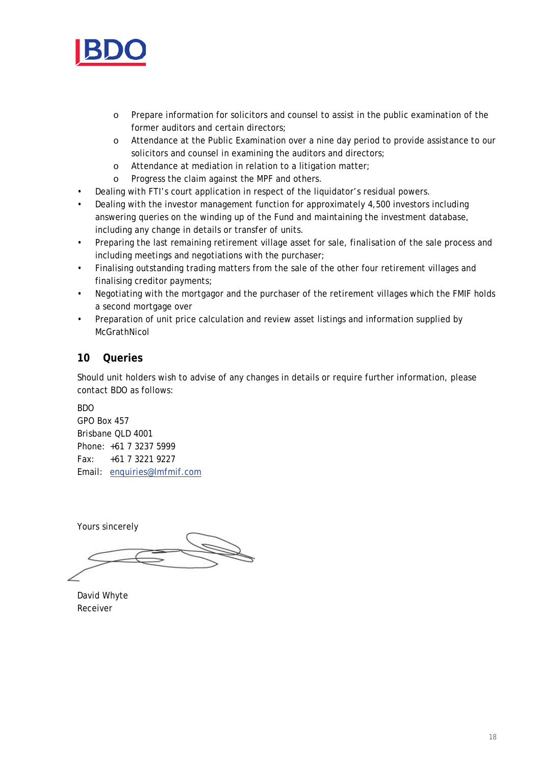

- o Prepare information for solicitors and counsel to assist in the public examination of the former auditors and certain directors;
- o Attendance at the Public Examination over a nine day period to provide assistance to our solicitors and counsel in examining the auditors and directors;
- o Attendance at mediation in relation to a litigation matter;
- o Progress the claim against the MPF and others.
- Dealing with FTI's court application in respect of the liquidator's residual powers.
- Dealing with the investor management function for approximately 4,500 investors including answering queries on the winding up of the Fund and maintaining the investment database, including any change in details or transfer of units.
- Preparing the last remaining retirement village asset for sale, finalisation of the sale process and including meetings and negotiations with the purchaser;
- Finalising outstanding trading matters from the sale of the other four retirement villages and finalising creditor payments;
- Negotiating with the mortgagor and the purchaser of the retirement villages which the FMIF holds a second mortgage over
- Preparation of unit price calculation and review asset listings and information supplied by McGrathNicol

## **10 Queries**

Should unit holders wish to advise of any changes in details or require further information, please contact BDO as follows:

BDO GPO Box 457 Brisbane QLD 4001 Phone: +61 7 3237 5999 Fax: +61 7 3221 9227 Email: [enquiries@lmfmif.com](mailto:enquiries@lmfmif.com)

Yours sincerely

David Whyte Receiver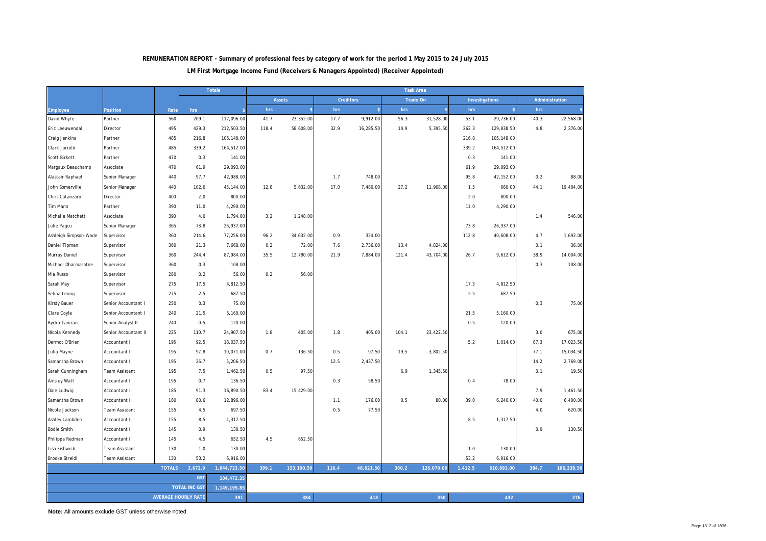#### **LM First Mortgage Income Fund (Receivers & Managers Appointed) (Receiver Appointed) REMUNERATION REPORT - Summary of professional fees by category of work for the period 1 May 2015 to 24 July 2015**

|                       |                                      |               |                            | <b>Totals</b> | <b>Task Area</b> |                                               |       |           |                |                    |         |            |       |            |
|-----------------------|--------------------------------------|---------------|----------------------------|---------------|------------------|-----------------------------------------------|-------|-----------|----------------|--------------------|---------|------------|-------|------------|
|                       |                                      |               |                            |               |                  | <b>Creditors</b><br>Trade On<br><b>Assets</b> |       |           | Investigations | Administration     |         |            |       |            |
| <b>Employee</b>       | Position                             | Rate          | hrs                        |               | hrs              |                                               | hrs   |           | hrs            | $\hat{\mathbf{z}}$ | hrs     |            | hrs   |            |
| David Whyte           | Partner                              | 560           | 209.1                      | 117,096.00    | 41.7             | 23,352.00                                     | 17.7  | 9,912.00  | 56.3           | 31,528.00          | 53.1    | 29,736.00  | 40.3  | 22,568.00  |
| Eric Leeuwendal       | Director                             | 495           | 429.3                      | 212,503.50    | 118.4            | 58,608.00                                     | 32.9  | 16,285.50 | 10.9           | 5,395.50           | 262.3   | 129,838.50 | 4.8   | 2,376.00   |
| Craig Jenkins         | Partner                              | 485           | 216.8                      | 105,148.00    |                  |                                               |       |           |                |                    | 216.8   | 105,148.00 |       |            |
| Clark Jarrold         | Partner                              | 485           | 339.2                      | 164,512.00    |                  |                                               |       |           |                |                    | 339.2   | 164,512.00 |       |            |
| <b>Scott Birkett</b>  | Partner                              | 470           | 0.3                        | 141.00        |                  |                                               |       |           |                |                    | 0.3     | 141.00     |       |            |
| Margaux Beauchamp     | Associate                            | 470           | 61.9                       | 29,093.00     |                  |                                               |       |           |                |                    | 61.9    | 29,093.00  |       |            |
| Alastair Raphael      | Senior Manager                       | 440           | 97.7                       | 42,988.00     |                  |                                               | 1.7   | 748.00    |                |                    | 95.8    | 42,152.00  | 0.2   | 88.00      |
| John Somerville       | Senior Manager                       | 440           | 102.6                      | 45,144.00     | 12.8             | 5,632.00                                      | 17.0  | 7,480.00  | 27.2           | 11,968.00          | 1.5     | 660.00     | 44.1  | 19,404.00  |
| Chris Catanzaro       | Director                             | 400           | 2.0                        | 800.00        |                  |                                               |       |           |                |                    | 2.0     | 800.00     |       |            |
| Tim Mann              | Partner                              | 390           | 11.0                       | 4,290.00      |                  |                                               |       |           |                |                    | 11.0    | 4,290.00   |       |            |
| Michelle Matchett     | Associate                            | 390           | 4.6                        | 1,794.00      | 3.2              | 1,248.00                                      |       |           |                |                    |         |            | 1.4   | 546.00     |
| Julie Pagcu           | Senior Manager                       | 365           | 73.8                       | 26,937.00     |                  |                                               |       |           |                |                    | 73.8    | 26,937.00  |       |            |
| Ashleigh Simpson-Wade | Supervisor                           | 360           | 214.6                      | 77,256.00     | 96.2             | 34,632.00                                     | 0.9   | 324.00    |                |                    | 112.8   | 40,608.00  | 4.7   | 1,692.00   |
| Daniel Tipman         | Supervisor                           | 360           | 21.3                       | 7,668.00      | 0.2              | 72.00                                         | 7.6   | 2,736.00  | 13.4           | 4,824.00           |         |            | 0.1   | 36.00      |
| Murray Daniel         | Supervisor                           | 360           | 244.4                      | 87,984.00     | 35.5             | 12,780.00                                     | 21.9  | 7,884.00  | 121.4          | 43,704.00          | 26.7    | 9,612.00   | 38.9  | 14,004.00  |
| Michael Dharmaratne   | Supervisor                           | 360           | 0.3                        | 108.00        |                  |                                               |       |           |                |                    |         |            | 0.3   | 108.00     |
| Mia Russo             | Supervisor                           | 280           | 0.2                        | 56.00         | 0.2              | 56.00                                         |       |           |                |                    |         |            |       |            |
| Sarah May             | Supervisor                           | 275           | 17.5                       | 4,812.50      |                  |                                               |       |           |                |                    | 17.5    | 4,812.50   |       |            |
| Selina Leung          | Supervisor                           | 275           | 2.5                        | 687.50        |                  |                                               |       |           |                |                    | 2.5     | 687.50     |       |            |
| <b>Kirsty Bauer</b>   | Senior Accountant I                  | 250           | 0.3                        | 75.00         |                  |                                               |       |           |                |                    |         |            | 0.3   | 75.00      |
| Clare Coyle           | Senior Accountant I                  | 240           | 21.5                       | 5,160.00      |                  |                                               |       |           |                |                    | 21.5    | 5,160.00   |       |            |
| Rycko Taniran         | Senior Analyst II                    | 240           | 0.5                        | 120.00        |                  |                                               |       |           |                |                    | 0.5     | 120.00     |       |            |
| Nicola Kennedy        | Senior Accountant II                 | 225           | 110.7                      | 24,907.50     | 1.8              | 405.00                                        | 1.8   | 405.00    | 104.1          | 23,422.50          |         |            | 3.0   | 675.00     |
| Dermot O'Brien        | Accountant II                        | 195           | 92.5                       | 18,037.50     |                  |                                               |       |           |                |                    | 5.2     | 1,014.00   | 87.3  | 17,023.50  |
| Julia Mayne           | Accountant II                        | 195           | 97.8                       | 19,071.00     | 0.7              | 136.50                                        | 0.5   | 97.50     | 19.5           | 3,802.50           |         |            | 77.1  | 15,034.50  |
| Samantha Brown        | Accountant II                        | 195           | 26.7                       | 5,206.50      |                  |                                               | 12.5  | 2,437.50  |                |                    |         |            | 14.2  | 2,769.00   |
| Sarah Cunningham      | Team Assistant                       | 195           | 7.5                        | 1,462.50      | 0.5              | 97.50                                         |       |           | 6.9            | 1,345.50           |         |            | 0.1   | 19.50      |
| Ainsley Watt          | Accountant I                         | 195           | 0.7                        | 136.50        |                  |                                               | 0.3   | 58.50     |                |                    | 0.4     | 78.00      |       |            |
| Dale Ludwig           | Accountant I                         | 185           | 91.3                       | 16,890.50     | 83.4             | 15,429.00                                     |       |           |                |                    |         |            | 7.9   | 1,461.50   |
| Samantha Brown        | Accountant II                        | 160           | 80.6                       | 12,896.00     |                  |                                               | 1.1   | 176.00    | 0.5            | 80.00              | 39.0    | 6,240.00   | 40.0  | 6,400.00   |
| Nicole Jackson        | Team Assistant                       | 155           | 4.5                        | 697.50        |                  |                                               | 0.5   | 77.50     |                |                    |         |            | 4.0   | 620.00     |
| Ashley Lambden        | Accountant II                        | 155           | 8.5                        | 1,317.50      |                  |                                               |       |           |                |                    | 8.5     | 1,317.50   |       |            |
| <b>Bodie Smith</b>    | Accountant I                         | 145           | 0.9                        | 130.50        |                  |                                               |       |           |                |                    |         |            | 0.9   | 130.50     |
| Philippa Redman       | Accountant II                        | 145           | 4.5                        | 652.50        | 4.5              | 652.50                                        |       |           |                |                    |         |            |       |            |
| Lisa Fishwick         | Team Assistant                       | 130           | 1.0                        | 130.00        |                  |                                               |       |           |                |                    | 1.0     | 130.00     |       |            |
| <b>Brooke Streidl</b> | Team Assistant                       | 130           | 53.2                       | 6,916.00      |                  |                                               |       |           |                |                    | 53.2    | 6,916.00   |       |            |
|                       |                                      | <b>TOTALS</b> | 2,672.9                    | 1,044,723.50  | 399.1            | 153,100.50                                    | 116.4 | 48,621.50 | 360.2          | 126,070.00         | 1,412.5 | 610,693.00 | 384.7 | 106,238.50 |
|                       |                                      |               | <b>GST</b>                 | 104,472.35    |                  |                                               |       |           |                |                    |         |            |       |            |
|                       | <b>TOTAL INC GST</b><br>1,149,195.85 |               |                            |               |                  |                                               |       |           |                |                    |         |            |       |            |
|                       |                                      |               | <b>AVERAGE HOURLY RATE</b> | 391           |                  | 384                                           |       | 418       |                | 350                |         | 432        |       | 276        |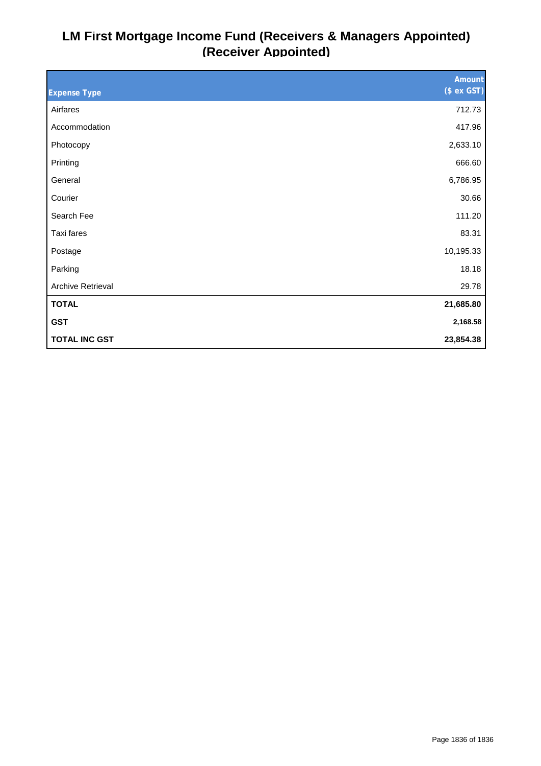## **LM First Mortgage Income Fund (Receivers & Managers Appointed) (Receiver Appointed)**

|                          | <b>Amount</b> |
|--------------------------|---------------|
| <b>Expense Type</b>      | (\$ ex GST)   |
| Airfares                 | 712.73        |
| Accommodation            | 417.96        |
| Photocopy                | 2,633.10      |
| Printing                 | 666.60        |
| General                  | 6,786.95      |
| Courier                  | 30.66         |
| Search Fee               | 111.20        |
| Taxi fares               | 83.31         |
| Postage                  | 10,195.33     |
| Parking                  | 18.18         |
| <b>Archive Retrieval</b> | 29.78         |
| <b>TOTAL</b>             | 21,685.80     |
| <b>GST</b>               | 2,168.58      |
| <b>TOTAL INC GST</b>     | 23,854.38     |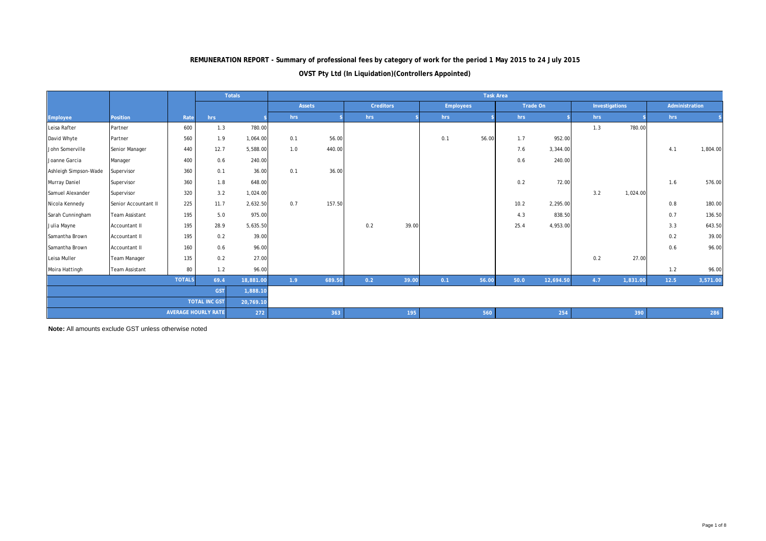## **REMUNERATION REPORT - Summary of professional fees by category of work for the period 1 May 2015 to 24 July 2015**

#### **OVST Pty Ltd (In Liquidation)(Controllers Appointed)**

|                       |                       |               |                            | <b>Totals</b> |     | <b>Task Area</b> |     |                  |     |                  |      |           |     |                |                |          |
|-----------------------|-----------------------|---------------|----------------------------|---------------|-----|------------------|-----|------------------|-----|------------------|------|-----------|-----|----------------|----------------|----------|
|                       |                       |               |                            |               |     | <b>Assets</b>    |     | <b>Creditors</b> |     | <b>Employees</b> |      | Trade On  |     | Investigations | Administration |          |
| Employee              | <b>Position</b>       | Rate          | hrs                        |               | hrs |                  | hrs |                  | hrs |                  | hrs  |           | hrs |                | hrs            |          |
| Leisa Rafter          | Partner               | 600           | 1.3                        | 780.00        |     |                  |     |                  |     |                  |      |           | 1.3 | 780.00         |                |          |
| David Whyte           | Partner               | 560           | 1.9                        | 1,064.00      | 0.1 | 56.00            |     |                  | 0.1 | 56.00            | 1.7  | 952.00    |     |                |                |          |
| John Somerville       | Senior Manager        | 440           | 12.7                       | 5,588.00      | 1.0 | 440.00           |     |                  |     |                  | 7.6  | 3,344.00  |     |                | 4.1            | 1,804.00 |
| Joanne Garcia         | Manager               | 400           | 0.6                        | 240.00        |     |                  |     |                  |     |                  | 0.6  | 240.00    |     |                |                |          |
| Ashleigh Simpson-Wade | Supervisor            | 360           | 0.1                        | 36.00         | 0.1 | 36.00            |     |                  |     |                  |      |           |     |                |                |          |
| Murray Daniel         | Supervisor            | 360           | 1.8                        | 648.00        |     |                  |     |                  |     |                  | 0.2  | 72.00     |     |                | 1.6            | 576.00   |
| Samuel Alexander      | Supervisor            | 320           | 3.2                        | 1,024.00      |     |                  |     |                  |     |                  |      |           | 3.2 | 1,024.00       |                |          |
| Nicola Kennedy        | Senior Accountant II  | 225           | 11.7                       | 2,632.50      | 0.7 | 157.50           |     |                  |     |                  | 10.2 | 2,295.00  |     |                | 0.8            | 180.00   |
| Sarah Cunningham      | <b>Team Assistant</b> | 195           | 5.0                        | 975.00        |     |                  |     |                  |     |                  | 4.3  | 838.50    |     |                | 0.7            | 136.50   |
| Julia Mayne           | Accountant II         | 195           | 28.9                       | 5,635.50      |     |                  | 0.2 | 39.00            |     |                  | 25.4 | 4,953.00  |     |                | 3.3            | 643.50   |
| Samantha Brown        | Accountant II         | 195           | 0.2                        | 39.00         |     |                  |     |                  |     |                  |      |           |     |                | 0.2            | 39.00    |
| Samantha Brown        | Accountant II         | 160           | 0.6                        | 96.00         |     |                  |     |                  |     |                  |      |           |     |                | 0.6            | 96.00    |
| Leisa Muller          | <b>Team Manager</b>   | 135           | 0.2                        | 27.00         |     |                  |     |                  |     |                  |      |           | 0.2 | 27.00          |                |          |
| Moira Hattingh        | <b>Team Assistant</b> | 80            | 1.2                        | 96.00         |     |                  |     |                  |     |                  |      |           |     |                | 1.2            | 96.00    |
|                       |                       | <b>TOTALS</b> | 69.4                       | 18,881.00     | 1.9 | 689.50           | 0.2 | 39.00            | 0.1 | 56.00            | 50.0 | 12,694.50 | 4.7 | 1,831.00       | 12.5           | 3,571.00 |
|                       | <b>GST</b>            |               |                            | 1,888.10      |     |                  |     |                  |     |                  |      |           |     |                |                |          |
|                       |                       |               | <b>TOTAL INC GST</b>       | 20,769.10     |     |                  |     |                  |     |                  |      |           |     |                |                |          |
|                       |                       |               | <b>AVERAGE HOURLY RATE</b> | 272           |     | 363              |     | 195              |     | 560              |      | 254       |     | 390            |                | 286      |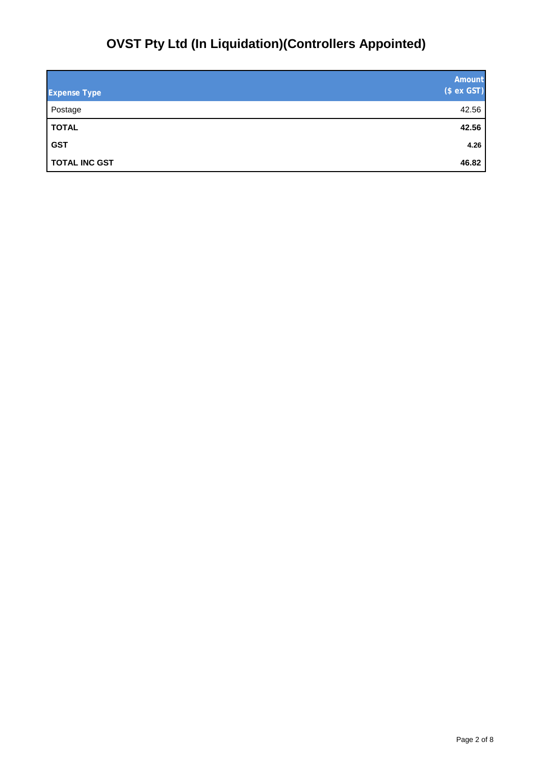# **OVST Pty Ltd (In Liquidation)(Controllers Appointed)**

| <b>Expense Type</b>  | Amount<br>(\$ ex GST) |
|----------------------|-----------------------|
| Postage              | 42.56                 |
| <b>TOTAL</b>         | 42.56                 |
| <b>GST</b>           | 4.26                  |
| <b>TOTAL INC GST</b> | 46.82                 |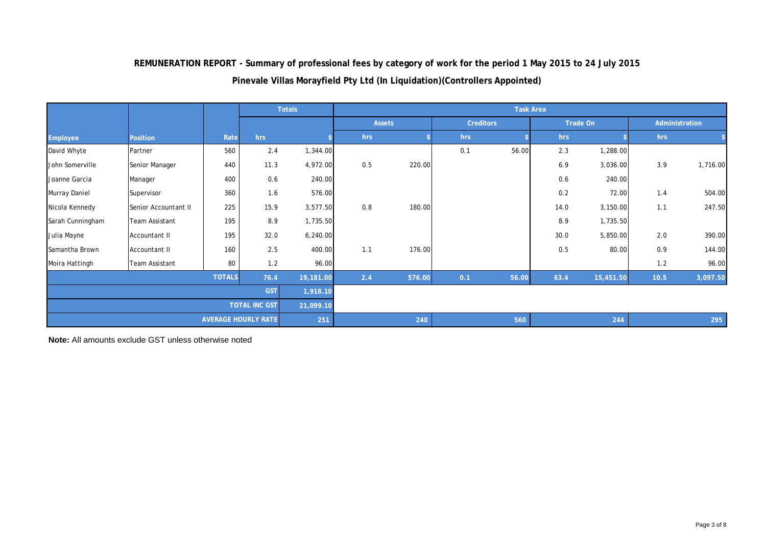**REMUNERATION REPORT - Summary of professional fees by category of work for the period 1 May 2015 to 24 July 2015**

**Pinevale Villas Morayfield Pty Ltd (In Liquidation)(Controllers Appointed)**

|                       |                       |      |                            | <b>Totals</b> | <b>Task Area</b> |               |                  |       |      |           |      |                |
|-----------------------|-----------------------|------|----------------------------|---------------|------------------|---------------|------------------|-------|------|-----------|------|----------------|
|                       |                       |      |                            |               |                  | <b>Assets</b> | <b>Creditors</b> |       |      | Trade On  |      | Administration |
| Employee              | <b>Position</b>       | Rate | hrs                        |               | hrs              |               | hrs              |       | hrs  |           | hrs  |                |
| David Whyte           | Partner               | 560  | 2.4                        | 1,344.00      |                  |               | 0.1              | 56.00 | 2.3  | 1,288.00  |      |                |
| John Somerville       | Senior Manager        | 440  | 11.3                       | 4,972.00      | 0.5              | 220.00        |                  |       | 6.9  | 3,036.00  | 3.9  | 1,716.00       |
| Joanne Garcia         | Manager               | 400  | 0.6                        | 240.00        |                  |               |                  |       | 0.6  | 240.00    |      |                |
| Murray Daniel         | Supervisor            | 360  | 1.6                        | 576.00        |                  |               |                  |       | 0.2  | 72.00     | 1.4  | 504.00         |
| Nicola Kennedy        | Senior Accountant II  | 225  | 15.9                       | 3,577.50      | 0.8              | 180.00        |                  |       | 14.0 | 3,150.00  | 1.1  | 247.50         |
| Sarah Cunningham      | <b>Team Assistant</b> | 195  | 8.9                        | 1,735.50      |                  |               |                  |       | 8.9  | 1,735.50  |      |                |
| Julia Mayne           | Accountant II         | 195  | 32.0                       | 6,240.00      |                  |               |                  |       | 30.0 | 5,850.00  | 2.0  | 390.00         |
| Samantha Brown        | Accountant II         | 160  | 2.5                        | 400.00        | 1.1              | 176.00        |                  |       | 0.5  | 80.00     | 0.9  | 144.00         |
| Moira Hattingh        | <b>Team Assistant</b> | 80   | 1.2                        | 96.00         |                  |               |                  |       |      |           | 1.2  | 96.00          |
| <b>TOTALS</b><br>76.4 |                       |      |                            | 19,181.00     | 2.4              | 576.00        | 0.1              | 56.00 | 63.4 | 15,451.50 | 10.5 | 3,097.50       |
| <b>GST</b>            |                       |      |                            |               | 1,918.10         |               |                  |       |      |           |      |                |
| <b>TOTAL INC GST</b>  |                       |      |                            | 21,099.10     |                  |               |                  |       |      |           |      |                |
|                       |                       |      | <b>AVERAGE HOURLY RATE</b> | 251           |                  | 240           |                  | 560   |      | 244       |      | 295            |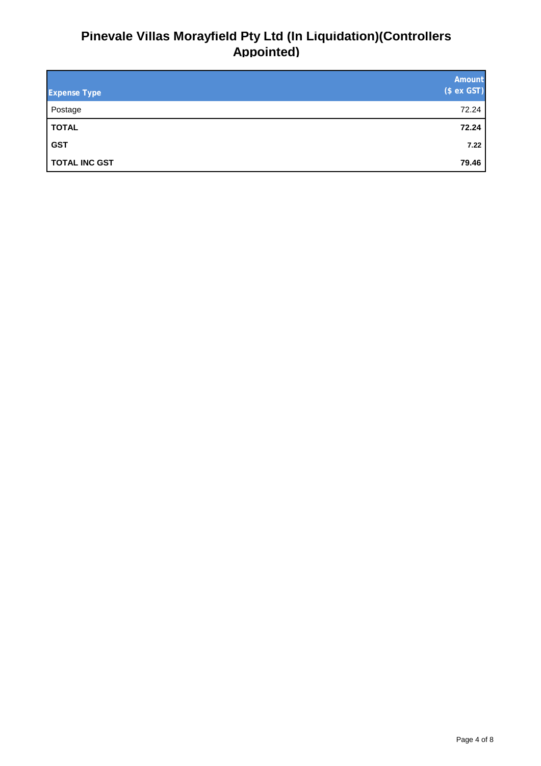## **Pinevale Villas Morayfield Pty Ltd (In Liquidation)(Controllers Appointed)**

| <b>Expense Type</b>  | Amount<br>(\$ ex GST) |
|----------------------|-----------------------|
| Postage              | 72.24                 |
| <b>TOTAL</b>         | 72.24                 |
| <b>GST</b>           | 7.22                  |
| <b>TOTAL INC GST</b> | 79.46                 |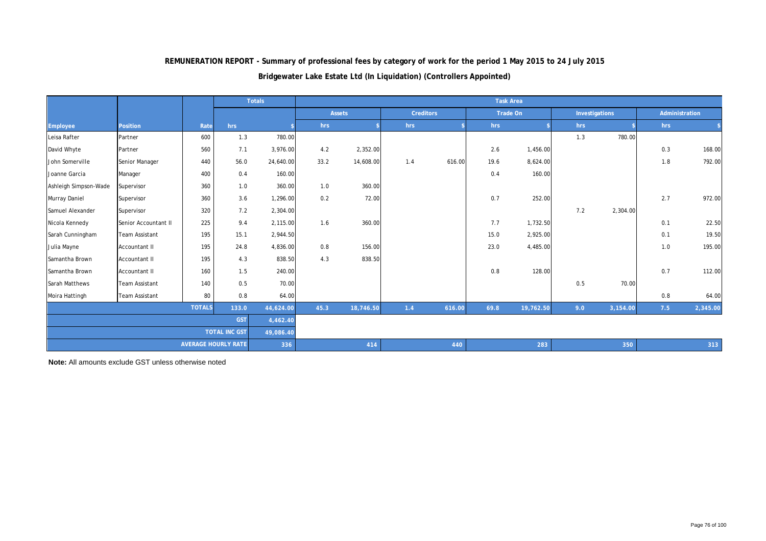|                       |                       |               |                            | <b>Totals</b> | <b>Task Area</b> |               |     |                  |      |           |                |          |                |          |
|-----------------------|-----------------------|---------------|----------------------------|---------------|------------------|---------------|-----|------------------|------|-----------|----------------|----------|----------------|----------|
|                       |                       |               |                            |               |                  | <b>Assets</b> |     | <b>Creditors</b> |      | Trade On  | Investigations |          | Administration |          |
| <b>Employee</b>       | <b>Position</b>       | Rate          | hrs                        |               | hrs              |               | hrs |                  | hrs  |           | hrs            |          | hrs            |          |
| Leisa Rafter          | Partner               | 600           | 1.3                        | 780.00        |                  |               |     |                  |      |           | 1.3            | 780.00   |                |          |
| David Whyte           | Partner               | 560           | 7.1                        | 3,976.00      | 4.2              | 2,352.00      |     |                  | 2.6  | 1,456.00  |                |          | 0.3            | 168.00   |
| John Somerville       | Senior Manager        | 440           | 56.0                       | 24,640.00     | 33.2             | 14,608.00     | 1.4 | 616.00           | 19.6 | 8,624.00  |                |          | 1.8            | 792.00   |
| Joanne Garcia         | Manager               | 400           | 0.4                        | 160.00        |                  |               |     |                  | 0.4  | 160.00    |                |          |                |          |
| Ashleigh Simpson-Wade | Supervisor            | 360           | 1.0                        | 360.00        | 1.0              | 360.00        |     |                  |      |           |                |          |                |          |
| Murray Daniel         | Supervisor            | 360           | 3.6                        | 1,296.00      | 0.2              | 72.00         |     |                  | 0.7  | 252.00    |                |          | 2.7            | 972.00   |
| Samuel Alexander      | Supervisor            | 320           | 7.2                        | 2,304.00      |                  |               |     |                  |      |           | 7.2            | 2,304.00 |                |          |
| Nicola Kennedy        | Senior Accountant II  | 225           | 9.4                        | 2,115.00      | 1.6              | 360.00        |     |                  | 7.7  | 1,732.50  |                |          | 0.1            | 22.50    |
| Sarah Cunningham      | <b>Team Assistant</b> | 195           | 15.1                       | 2,944.50      |                  |               |     |                  | 15.0 | 2,925.00  |                |          | 0.1            | 19.50    |
| Julia Mayne           | Accountant II         | 195           | 24.8                       | 4,836.00      | 0.8              | 156.00        |     |                  | 23.0 | 4,485.00  |                |          | 1.0            | 195.00   |
| Samantha Brown        | <b>Accountant II</b>  | 195           | 4.3                        | 838.50        | 4.3              | 838.50        |     |                  |      |           |                |          |                |          |
| Samantha Brown        | Accountant II         | 160           | 1.5                        | 240.00        |                  |               |     |                  | 0.8  | 128.00    |                |          | 0.7            | 112.00   |
| Sarah Matthews        | <b>Team Assistant</b> | 140           | 0.5                        | 70.00         |                  |               |     |                  |      |           | 0.5            | 70.00    |                |          |
| Moira Hattingh        | <b>Team Assistant</b> | 80            | 0.8                        | 64.00         |                  |               |     |                  |      |           |                |          | 0.8            | 64.00    |
|                       |                       | <b>TOTALS</b> | 133.0                      | 44,624.00     | 45.3             | 18,746.50     | 1.4 | 616.00           | 69.8 | 19,762.50 | 9.0            | 3,154.00 | 7.5            | 2,345.00 |
| <b>GST</b>            |                       |               |                            | 4,462.40      |                  |               |     |                  |      |           |                |          |                |          |
| <b>TOTAL INC GST</b>  |                       |               |                            | 49,086.40     |                  |               |     |                  |      |           |                |          |                |          |
|                       |                       |               | <b>AVERAGE HOURLY RATE</b> | 336           |                  | 414           |     | 440              |      | 283       |                | 350      |                | 313      |

## **REMUNERATION REPORT - Summary of professional fees by category of work for the period 1 May 2015 to 24 July 2015**

#### **Bridgewater Lake Estate Ltd (In Liquidation) (Controllers Appointed)**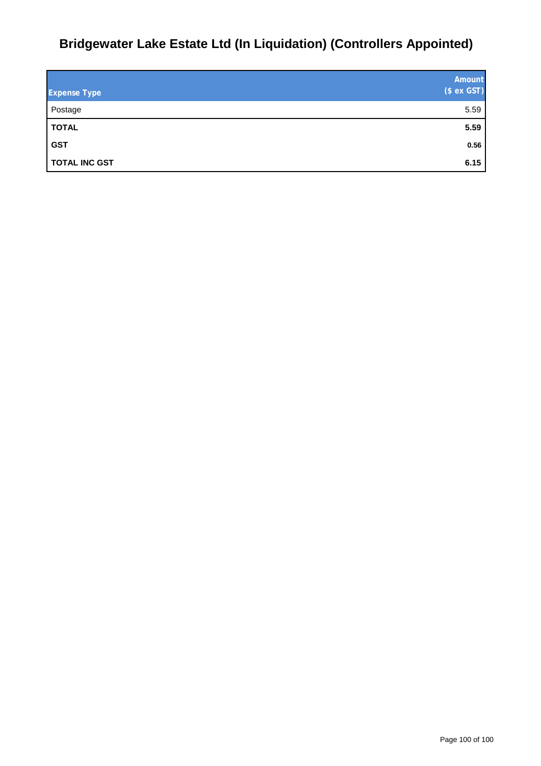# **Bridgewater Lake Estate Ltd (In Liquidation) (Controllers Appointed)**

| <b>Expense Type</b>  | Amount<br>(\$ ex GST) |
|----------------------|-----------------------|
| Postage              | 5.59                  |
| <b>TOTAL</b>         | 5.59                  |
| <b>GST</b>           | 0.56                  |
| <b>TOTAL INC GST</b> | 6.15                  |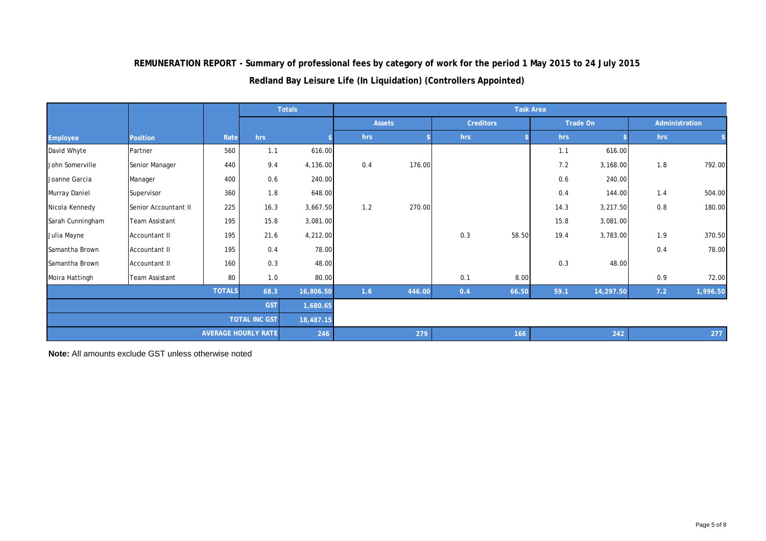**REMUNERATION REPORT - Summary of professional fees by category of work for the period 1 May 2015 to 24 July 2015**

## **Redland Bay Leisure Life (In Liquidation) (Controllers Appointed)**

|                                   |                       |               |                            | Totals    |     | <b>Task Area</b> |     |                  |      |           |     |                |
|-----------------------------------|-----------------------|---------------|----------------------------|-----------|-----|------------------|-----|------------------|------|-----------|-----|----------------|
|                                   |                       |               |                            |           |     | <b>Assets</b>    |     | <b>Creditors</b> |      | Trade On  |     | Administration |
| Employee                          | <b>Position</b>       | Rate          | hrs                        |           | hrs |                  | hrs |                  | hrs  |           | hrs |                |
| David Whyte                       | Partner               | 560           | 1.1                        | 616.00    |     |                  |     |                  | 1.1  | 616.00    |     |                |
| John Somerville                   | Senior Manager        | 440           | 9.4                        | 4,136.00  | 0.4 | 176.00           |     |                  | 7.2  | 3,168.00  | 1.8 | 792.00         |
| Joanne Garcia                     | Manager               | 400           | 0.6                        | 240.00    |     |                  |     |                  | 0.6  | 240.00    |     |                |
| Murray Daniel                     | Supervisor            | 360           | 1.8                        | 648.00    |     |                  |     |                  | 0.4  | 144.00    | 1.4 | 504.00         |
| Nicola Kennedy                    | Senior Accountant II  | 225           | 16.3                       | 3,667.50  | 1.2 | 270.00           |     |                  | 14.3 | 3,217.50  | 0.8 | 180.00         |
| Sarah Cunningham                  | <b>Team Assistant</b> | 195           | 15.8                       | 3,081.00  |     |                  |     |                  | 15.8 | 3,081.00  |     |                |
| Julia Mayne                       | Accountant II         | 195           | 21.6                       | 4,212.00  |     |                  | 0.3 | 58.50            | 19.4 | 3,783.00  | 1.9 | 370.50         |
| Samantha Brown                    | Accountant II         | 195           | 0.4                        | 78.00     |     |                  |     |                  |      |           | 0.4 | 78.00          |
| Samantha Brown                    | Accountant II         | 160           | 0.3                        | 48.00     |     |                  |     |                  | 0.3  | 48.00     |     |                |
| Moira Hattingh                    | <b>Team Assistant</b> | 80            | 1.0                        | 80.00     |     |                  | 0.1 | 8.00             |      |           | 0.9 | 72.00          |
|                                   |                       | <b>TOTALS</b> | 68.3                       | 16,806.50 | 1.6 | 446.00           | 0.4 | 66.50            | 59.1 | 14,297.50 | 7.2 | 1,996.50       |
| <b>GST</b><br>1,680.65            |                       |               |                            |           |     |                  |     |                  |      |           |     |                |
| <b>TOTAL INC GST</b><br>18,487.15 |                       |               |                            |           |     |                  |     |                  |      |           |     |                |
|                                   |                       |               | <b>AVERAGE HOURLY RATE</b> | 246       |     | 279              |     | 166              |      | 242       |     | 277            |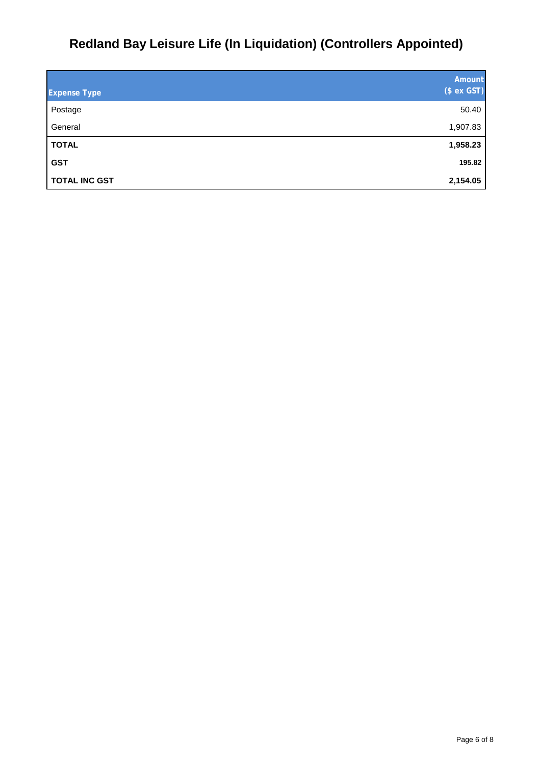# **Redland Bay Leisure Life (In Liquidation) (Controllers Appointed)**

|                      | Amount      |
|----------------------|-------------|
| <b>Expense Type</b>  | (\$ ex GST) |
| Postage              | 50.40       |
| General              | 1,907.83    |
| <b>TOTAL</b>         | 1,958.23    |
| <b>GST</b>           | 195.82      |
| <b>TOTAL INC GST</b> | 2,154.05    |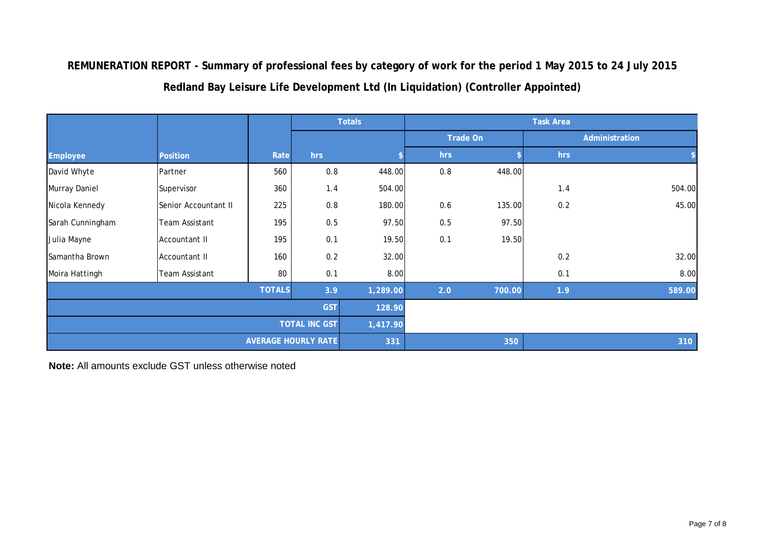**REMUNERATION REPORT - Summary of professional fees by category of work for the period 1 May 2015 to 24 July 2015 Redland Bay Leisure Life Development Ltd (In Liquidation) (Controller Appointed)**

|                  |                       |               |                            | <b>Totals</b> |     |          | <b>Task Area</b> |                |  |
|------------------|-----------------------|---------------|----------------------------|---------------|-----|----------|------------------|----------------|--|
|                  |                       |               |                            |               |     | Trade On |                  | Administration |  |
| Employee         | <b>Position</b>       | Rate          | hrs                        |               | hrs |          | hrs              |                |  |
| David Whyte      | Partner               | 560           | 0.8                        | 448.00        | 0.8 | 448.00   |                  |                |  |
| Murray Daniel    | Supervisor            | 360           | 1.4                        | 504.00        |     |          | 1.4              | 504.00         |  |
| Nicola Kennedy   | Senior Accountant II  | 225           | 0.8                        | 180.00        | 0.6 | 135.00   | 0.2              | 45.00          |  |
| Sarah Cunningham | <b>Team Assistant</b> | 195           | 0.5                        | 97.50         | 0.5 | 97.50    |                  |                |  |
| Julia Mayne      | Accountant II         | 195           | 0.1                        | 19.50         | 0.1 | 19.50    |                  |                |  |
| Samantha Brown   | Accountant II         | 160           | 0.2                        | 32.00         |     |          | 0.2              | 32.00          |  |
| Moira Hattingh   | <b>Team Assistant</b> | 80            | 0.1                        | 8.00          |     |          | 0.1              | 8.00           |  |
|                  |                       | <b>TOTALS</b> | 3.9                        | 1,289.00      | 2.0 | 700.00   | 1.9              | 589.00         |  |
|                  | 128.90                |               |                            |               |     |          |                  |                |  |
|                  | 1,417.90              |               |                            |               |     |          |                  |                |  |
|                  |                       |               | <b>AVERAGE HOURLY RATE</b> | 331           |     | 350      |                  | 310            |  |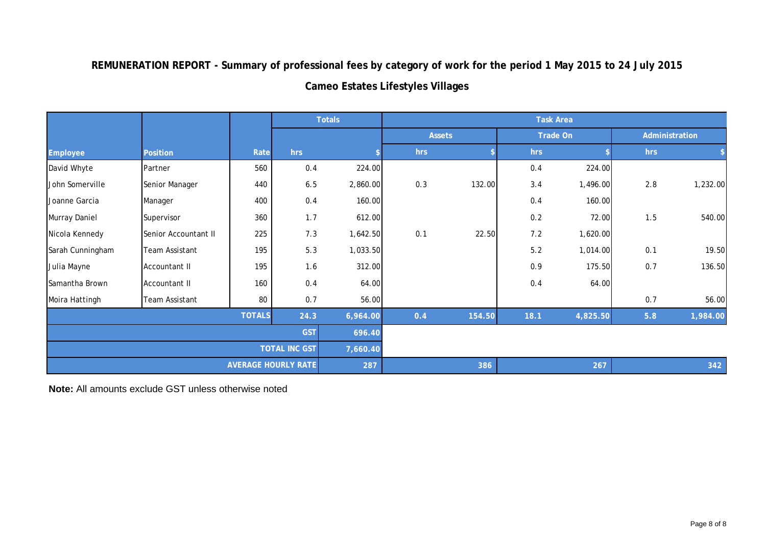**REMUNERATION REPORT - Summary of professional fees by category of work for the period 1 May 2015 to 24 July 2015 Cameo Estates Lifestyles Villages** 

|                      |                      |               |                            | <b>Totals</b> |     |               | <b>Task Area</b> |                 |     |                |
|----------------------|----------------------|---------------|----------------------------|---------------|-----|---------------|------------------|-----------------|-----|----------------|
|                      |                      |               |                            |               |     | <b>Assets</b> |                  | <b>Trade On</b> |     | Administration |
| Employee             | <b>Position</b>      | Rate          | hrs                        |               | hrs |               | hrs              |                 | hrs |                |
| David Whyte          | Partner              | 560           | 0.4                        | 224.00        |     |               | 0.4              | 224.00          |     |                |
| John Somerville      | Senior Manager       | 440           | 6.5                        | 2,860.00      | 0.3 | 132.00        | 3.4              | 1,496.00        | 2.8 | 1,232.00       |
| Joanne Garcia        | Manager              | 400           | 0.4                        | 160.00        |     |               | 0.4              | 160.00          |     |                |
| Murray Daniel        | Supervisor           | 360           | 1.7                        | 612.00        |     |               | 0.2              | 72.00           | 1.5 | 540.00         |
| Nicola Kennedy       | Senior Accountant II | 225           | 7.3                        | 1,642.50      | 0.1 | 22.50         | $7.2$            | 1,620.00        |     |                |
| Sarah Cunningham     | Team Assistant       | 195           | 5.3                        | 1,033.50      |     |               | $5.2$            | 1,014.00        | 0.1 | 19.50          |
| Julia Mayne          | Accountant II        | 195           | 1.6                        | 312.00        |     |               | 0.9              | 175.50          | 0.7 | 136.50         |
| Samantha Brown       | <b>Accountant II</b> | 160           | 0.4                        | 64.00         |     |               | 0.4              | 64.00           |     |                |
| Moira Hattingh       | Team Assistant       | 80            | 0.7                        | 56.00         |     |               |                  |                 | 0.7 | 56.00          |
|                      |                      | <b>TOTALS</b> | 24.3                       | 6,964.00      | 0.4 | 154.50        | 18.1             | 4,825.50        | 5.8 | 1,984.00       |
| <b>GST</b>           |                      |               |                            | 696.40        |     |               |                  |                 |     |                |
| <b>TOTAL INC GST</b> |                      |               |                            | 7,660.40      |     |               |                  |                 |     |                |
|                      |                      |               | <b>AVERAGE HOURLY RATE</b> | 287           |     | 386           |                  | 267             |     | 342            |